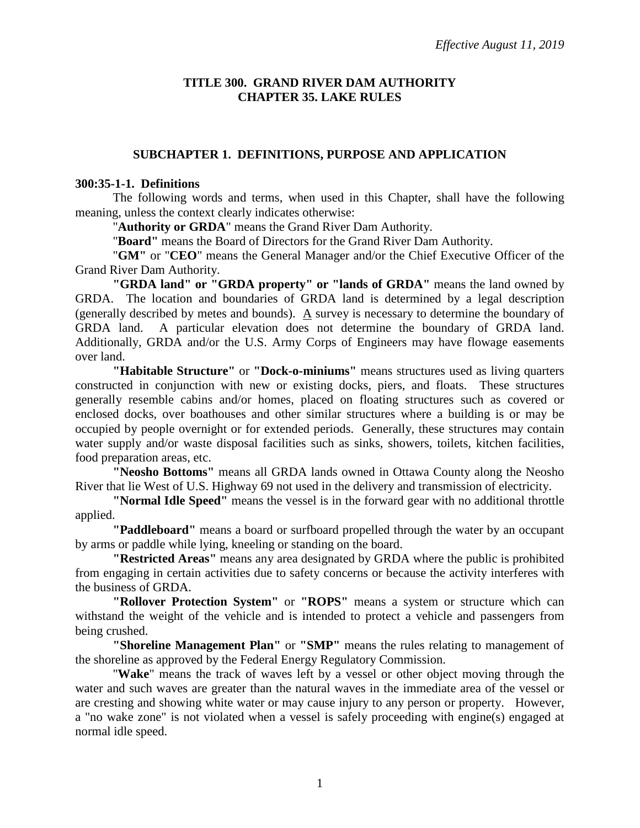### **TITLE 300. GRAND RIVER DAM AUTHORITY CHAPTER 35. LAKE RULES**

### **SUBCHAPTER 1. DEFINITIONS, PURPOSE AND APPLICATION**

#### **300:35-1-1. Definitions**

The following words and terms, when used in this Chapter, shall have the following meaning, unless the context clearly indicates otherwise:

"**Authority or GRDA**" means the Grand River Dam Authority.

"**Board"** means the Board of Directors for the Grand River Dam Authority.

"**GM"** or "**CEO**" means the General Manager and/or the Chief Executive Officer of the Grand River Dam Authority.

**"GRDA land" or "GRDA property" or "lands of GRDA"** means the land owned by GRDA. The location and boundaries of GRDA land is determined by a legal description (generally described by metes and bounds). A survey is necessary to determine the boundary of GRDA land. A particular elevation does not determine the boundary of GRDA land. Additionally, GRDA and/or the U.S. Army Corps of Engineers may have flowage easements over land.

**"Habitable Structure"** or **"Dock-o-miniums"** means structures used as living quarters constructed in conjunction with new or existing docks, piers, and floats. These structures generally resemble cabins and/or homes, placed on floating structures such as covered or enclosed docks, over boathouses and other similar structures where a building is or may be occupied by people overnight or for extended periods. Generally, these structures may contain water supply and/or waste disposal facilities such as sinks, showers, toilets, kitchen facilities, food preparation areas, etc.

**"Neosho Bottoms"** means all GRDA lands owned in Ottawa County along the Neosho River that lie West of U.S. Highway 69 not used in the delivery and transmission of electricity.

**"Normal Idle Speed"** means the vessel is in the forward gear with no additional throttle applied.

**"Paddleboard"** means a board or surfboard propelled through the water by an occupant by arms or paddle while lying, kneeling or standing on the board.

**"Restricted Areas"** means any area designated by GRDA where the public is prohibited from engaging in certain activities due to safety concerns or because the activity interferes with the business of GRDA.

**"Rollover Protection System"** or **"ROPS"** means a system or structure which can withstand the weight of the vehicle and is intended to protect a vehicle and passengers from being crushed.

**"Shoreline Management Plan"** or **"SMP"** means the rules relating to management of the shoreline as approved by the Federal Energy Regulatory Commission.

"**Wake**" means the track of waves left by a vessel or other object moving through the water and such waves are greater than the natural waves in the immediate area of the vessel or are cresting and showing white water or may cause injury to any person or property. However, a "no wake zone" is not violated when a vessel is safely proceeding with engine(s) engaged at normal idle speed.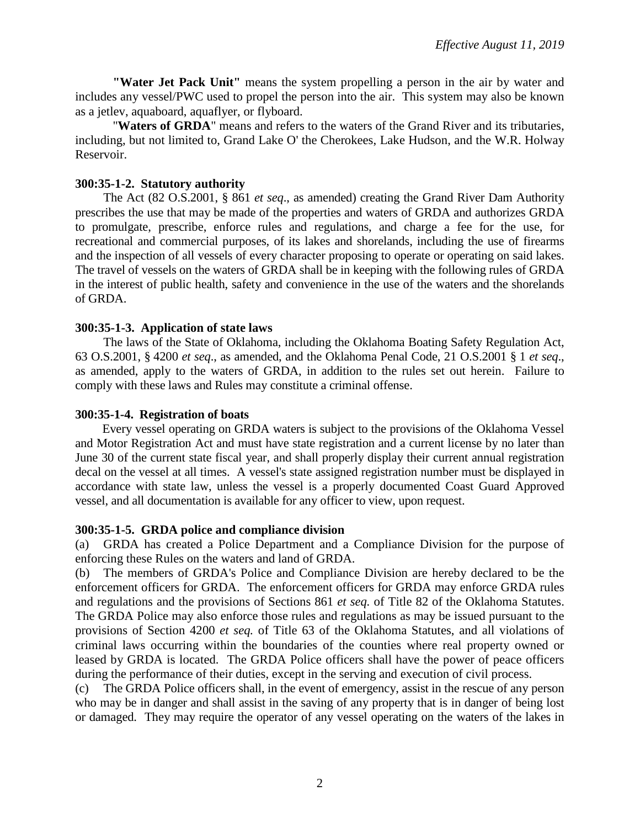**"Water Jet Pack Unit"** means the system propelling a person in the air by water and includes any vessel/PWC used to propel the person into the air. This system may also be known as a jetlev, aquaboard, aquaflyer, or flyboard.

"**Waters of GRDA**" means and refers to the waters of the Grand River and its tributaries, including, but not limited to, Grand Lake O' the Cherokees, Lake Hudson, and the W.R. Holway Reservoir.

### **300:35-1-2. Statutory authority**

The Act (82 O.S.2001, § 861 *et seq*., as amended) creating the Grand River Dam Authority prescribes the use that may be made of the properties and waters of GRDA and authorizes GRDA to promulgate, prescribe, enforce rules and regulations, and charge a fee for the use, for recreational and commercial purposes, of its lakes and shorelands, including the use of firearms and the inspection of all vessels of every character proposing to operate or operating on said lakes. The travel of vessels on the waters of GRDA shall be in keeping with the following rules of GRDA in the interest of public health, safety and convenience in the use of the waters and the shorelands of GRDA.

### **300:35-1-3. Application of state laws**

The laws of the State of Oklahoma, including the Oklahoma Boating Safety Regulation Act, 63 O.S.2001, § 4200 *et seq*., as amended, and the Oklahoma Penal Code, 21 O.S.2001 § 1 *et seq*., as amended, apply to the waters of GRDA, in addition to the rules set out herein. Failure to comply with these laws and Rules may constitute a criminal offense.

#### **300:35-1-4. Registration of boats**

 Every vessel operating on GRDA waters is subject to the provisions of the Oklahoma Vessel and Motor Registration Act and must have state registration and a current license by no later than June 30 of the current state fiscal year, and shall properly display their current annual registration decal on the vessel at all times. A vessel's state assigned registration number must be displayed in accordance with state law, unless the vessel is a properly documented Coast Guard Approved vessel, and all documentation is available for any officer to view, upon request.

#### **300:35-1-5. GRDA police and compliance division**

(a) GRDA has created a Police Department and a Compliance Division for the purpose of enforcing these Rules on the waters and land of GRDA.

(b) The members of GRDA's Police and Compliance Division are hereby declared to be the enforcement officers for GRDA. The enforcement officers for GRDA may enforce GRDA rules and regulations and the provisions of Sections 861 *et seq.* of Title 82 of the Oklahoma Statutes. The GRDA Police may also enforce those rules and regulations as may be issued pursuant to the provisions of Section 4200 *et seq.* of Title 63 of the Oklahoma Statutes, and all violations of criminal laws occurring within the boundaries of the counties where real property owned or leased by GRDA is located. The GRDA Police officers shall have the power of peace officers during the performance of their duties, except in the serving and execution of civil process.

(c) The GRDA Police officers shall, in the event of emergency, assist in the rescue of any person who may be in danger and shall assist in the saving of any property that is in danger of being lost or damaged. They may require the operator of any vessel operating on the waters of the lakes in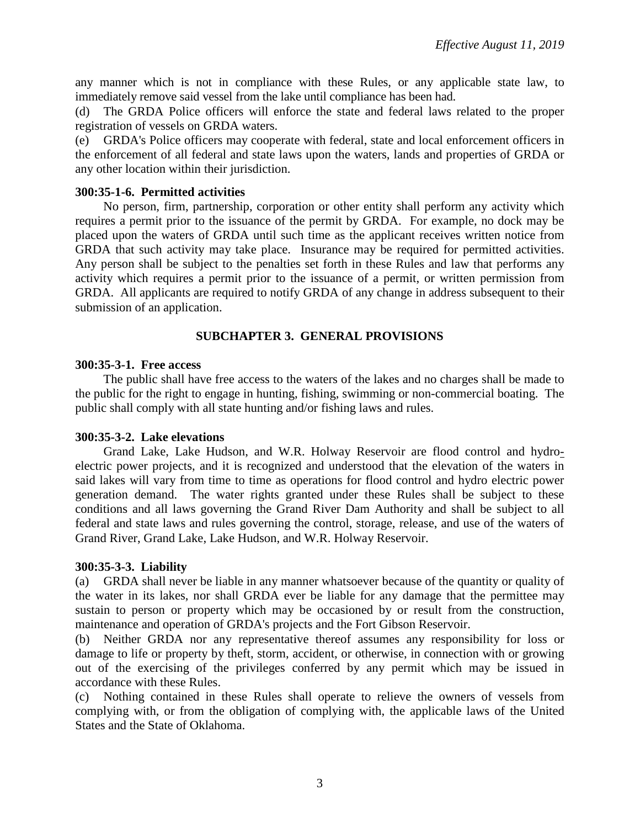any manner which is not in compliance with these Rules, or any applicable state law, to immediately remove said vessel from the lake until compliance has been had.

(d) The GRDA Police officers will enforce the state and federal laws related to the proper registration of vessels on GRDA waters.

(e) GRDA's Police officers may cooperate with federal, state and local enforcement officers in the enforcement of all federal and state laws upon the waters, lands and properties of GRDA or any other location within their jurisdiction.

### **300:35-1-6. Permitted activities**

No person, firm, partnership, corporation or other entity shall perform any activity which requires a permit prior to the issuance of the permit by GRDA. For example, no dock may be placed upon the waters of GRDA until such time as the applicant receives written notice from GRDA that such activity may take place. Insurance may be required for permitted activities. Any person shall be subject to the penalties set forth in these Rules and law that performs any activity which requires a permit prior to the issuance of a permit, or written permission from GRDA. All applicants are required to notify GRDA of any change in address subsequent to their submission of an application.

## **SUBCHAPTER 3. GENERAL PROVISIONS**

### **300:35-3-1. Free access**

The public shall have free access to the waters of the lakes and no charges shall be made to the public for the right to engage in hunting, fishing, swimming or non-commercial boating. The public shall comply with all state hunting and/or fishing laws and rules.

## **300:35-3-2. Lake elevations**

Grand Lake, Lake Hudson, and W.R. Holway Reservoir are flood control and hydroelectric power projects, and it is recognized and understood that the elevation of the waters in said lakes will vary from time to time as operations for flood control and hydro electric power generation demand. The water rights granted under these Rules shall be subject to these conditions and all laws governing the Grand River Dam Authority and shall be subject to all federal and state laws and rules governing the control, storage, release, and use of the waters of Grand River, Grand Lake, Lake Hudson, and W.R. Holway Reservoir.

#### **300:35-3-3. Liability**

(a) GRDA shall never be liable in any manner whatsoever because of the quantity or quality of the water in its lakes, nor shall GRDA ever be liable for any damage that the permittee may sustain to person or property which may be occasioned by or result from the construction, maintenance and operation of GRDA's projects and the Fort Gibson Reservoir.

(b) Neither GRDA nor any representative thereof assumes any responsibility for loss or damage to life or property by theft, storm, accident, or otherwise, in connection with or growing out of the exercising of the privileges conferred by any permit which may be issued in accordance with these Rules.

(c) Nothing contained in these Rules shall operate to relieve the owners of vessels from complying with, or from the obligation of complying with, the applicable laws of the United States and the State of Oklahoma.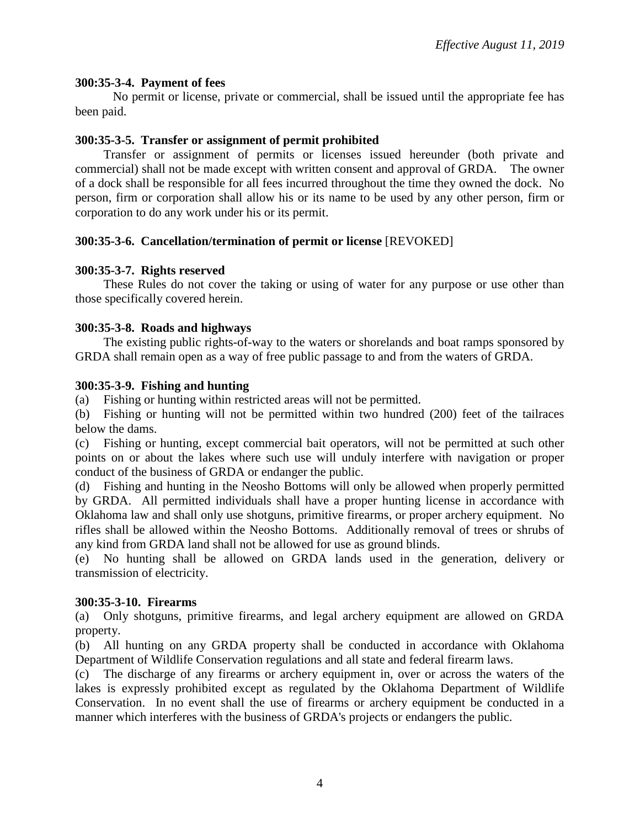### **300:35-3-4. Payment of fees**

No permit or license, private or commercial, shall be issued until the appropriate fee has been paid.

### **300:35-3-5. Transfer or assignment of permit prohibited**

Transfer or assignment of permits or licenses issued hereunder (both private and commercial) shall not be made except with written consent and approval of GRDA. The owner of a dock shall be responsible for all fees incurred throughout the time they owned the dock. No person, firm or corporation shall allow his or its name to be used by any other person, firm or corporation to do any work under his or its permit.

### **300:35-3-6. Cancellation/termination of permit or license** [REVOKED]

### **300:35-3-7. Rights reserved**

These Rules do not cover the taking or using of water for any purpose or use other than those specifically covered herein.

### **300:35-3-8. Roads and highways**

The existing public rights-of-way to the waters or shorelands and boat ramps sponsored by GRDA shall remain open as a way of free public passage to and from the waters of GRDA.

### **300:35-3-9. Fishing and hunting**

(a) Fishing or hunting within restricted areas will not be permitted.

(b) Fishing or hunting will not be permitted within two hundred (200) feet of the tailraces below the dams.

(c) Fishing or hunting, except commercial bait operators, will not be permitted at such other points on or about the lakes where such use will unduly interfere with navigation or proper conduct of the business of GRDA or endanger the public.

(d) Fishing and hunting in the Neosho Bottoms will only be allowed when properly permitted by GRDA. All permitted individuals shall have a proper hunting license in accordance with Oklahoma law and shall only use shotguns, primitive firearms, or proper archery equipment. No rifles shall be allowed within the Neosho Bottoms. Additionally removal of trees or shrubs of any kind from GRDA land shall not be allowed for use as ground blinds.

(e) No hunting shall be allowed on GRDA lands used in the generation, delivery or transmission of electricity.

#### **300:35-3-10. Firearms**

(a) Only shotguns, primitive firearms, and legal archery equipment are allowed on GRDA property.

(b) All hunting on any GRDA property shall be conducted in accordance with Oklahoma Department of Wildlife Conservation regulations and all state and federal firearm laws.

(c) The discharge of any firearms or archery equipment in, over or across the waters of the lakes is expressly prohibited except as regulated by the Oklahoma Department of Wildlife Conservation. In no event shall the use of firearms or archery equipment be conducted in a manner which interferes with the business of GRDA's projects or endangers the public.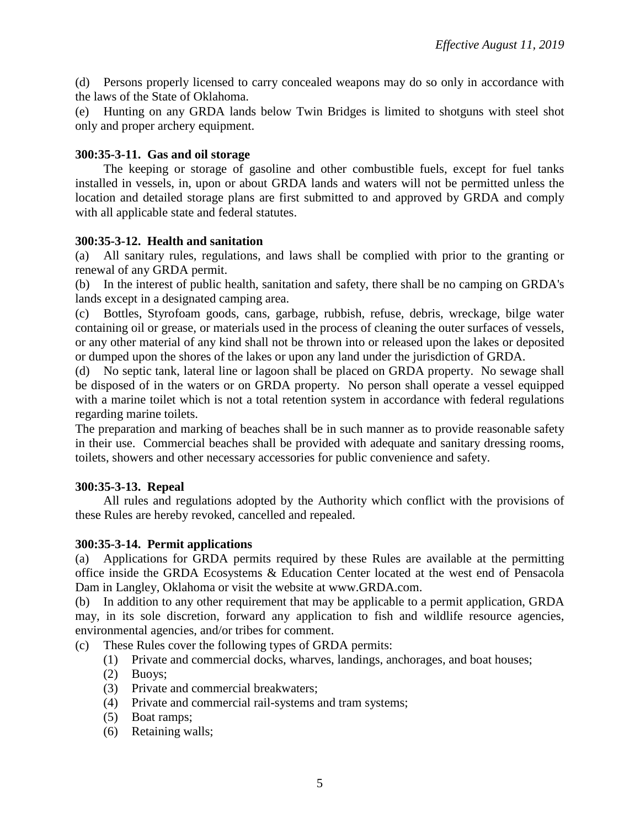(d) Persons properly licensed to carry concealed weapons may do so only in accordance with the laws of the State of Oklahoma.

(e) Hunting on any GRDA lands below Twin Bridges is limited to shotguns with steel shot only and proper archery equipment.

### **300:35-3-11. Gas and oil storage**

The keeping or storage of gasoline and other combustible fuels, except for fuel tanks installed in vessels, in, upon or about GRDA lands and waters will not be permitted unless the location and detailed storage plans are first submitted to and approved by GRDA and comply with all applicable state and federal statutes.

#### **300:35-3-12. Health and sanitation**

(a) All sanitary rules, regulations, and laws shall be complied with prior to the granting or renewal of any GRDA permit.

(b) In the interest of public health, sanitation and safety, there shall be no camping on GRDA's lands except in a designated camping area.

(c) Bottles, Styrofoam goods, cans, garbage, rubbish, refuse, debris, wreckage, bilge water containing oil or grease, or materials used in the process of cleaning the outer surfaces of vessels, or any other material of any kind shall not be thrown into or released upon the lakes or deposited or dumped upon the shores of the lakes or upon any land under the jurisdiction of GRDA.

(d) No septic tank, lateral line or lagoon shall be placed on GRDA property. No sewage shall be disposed of in the waters or on GRDA property. No person shall operate a vessel equipped with a marine toilet which is not a total retention system in accordance with federal regulations regarding marine toilets.

The preparation and marking of beaches shall be in such manner as to provide reasonable safety in their use. Commercial beaches shall be provided with adequate and sanitary dressing rooms, toilets, showers and other necessary accessories for public convenience and safety.

## **300:35-3-13. Repeal**

All rules and regulations adopted by the Authority which conflict with the provisions of these Rules are hereby revoked, cancelled and repealed.

## **300:35-3-14. Permit applications**

(a) Applications for GRDA permits required by these Rules are available at the permitting office inside the GRDA Ecosystems & Education Center located at the west end of Pensacola Dam in Langley, Oklahoma or visit the website at www.GRDA.com.

(b) In addition to any other requirement that may be applicable to a permit application, GRDA may, in its sole discretion, forward any application to fish and wildlife resource agencies, environmental agencies, and/or tribes for comment.

- (c) These Rules cover the following types of GRDA permits:
	- (1) Private and commercial docks, wharves, landings, anchorages, and boat houses;
	- (2) Buoys;
	- (3) Private and commercial breakwaters;
	- (4) Private and commercial rail-systems and tram systems;
	- (5) Boat ramps;
	- (6) Retaining walls;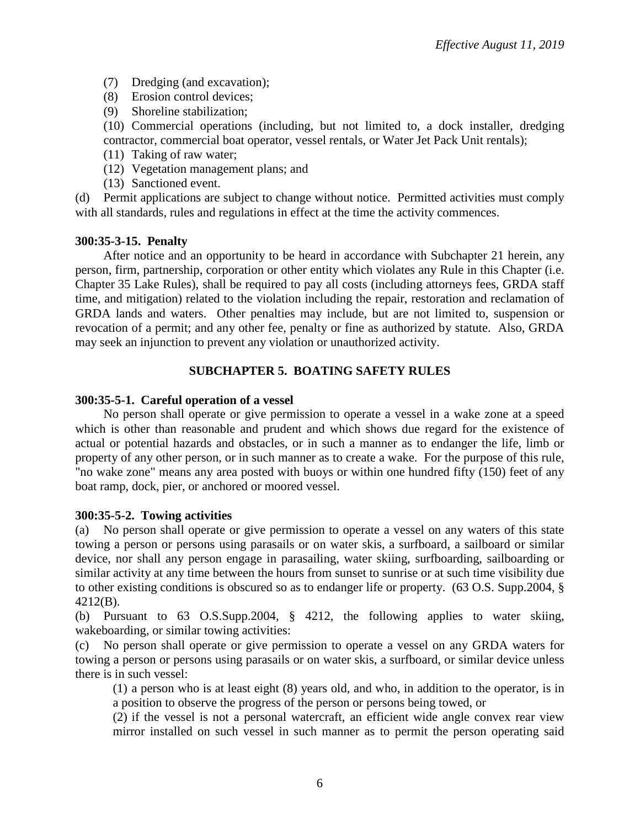- (7) Dredging (and excavation);
- (8) Erosion control devices;
- (9) Shoreline stabilization;

(10) Commercial operations (including, but not limited to, a dock installer, dredging contractor, commercial boat operator, vessel rentals, or Water Jet Pack Unit rentals);

- (11) Taking of raw water;
- (12) Vegetation management plans; and
- (13) Sanctioned event.

(d) Permit applications are subject to change without notice. Permitted activities must comply with all standards, rules and regulations in effect at the time the activity commences.

### **300:35-3-15. Penalty**

After notice and an opportunity to be heard in accordance with Subchapter 21 herein, any person, firm, partnership, corporation or other entity which violates any Rule in this Chapter (i.e. Chapter 35 Lake Rules), shall be required to pay all costs (including attorneys fees, GRDA staff time, and mitigation) related to the violation including the repair, restoration and reclamation of GRDA lands and waters. Other penalties may include, but are not limited to, suspension or revocation of a permit; and any other fee, penalty or fine as authorized by statute. Also, GRDA may seek an injunction to prevent any violation or unauthorized activity.

## **SUBCHAPTER 5. BOATING SAFETY RULES**

### **300:35-5-1. Careful operation of a vessel**

No person shall operate or give permission to operate a vessel in a wake zone at a speed which is other than reasonable and prudent and which shows due regard for the existence of actual or potential hazards and obstacles, or in such a manner as to endanger the life, limb or property of any other person, or in such manner as to create a wake. For the purpose of this rule, "no wake zone" means any area posted with buoys or within one hundred fifty (150) feet of any boat ramp, dock, pier, or anchored or moored vessel.

#### **300:35-5-2. Towing activities**

(a) No person shall operate or give permission to operate a vessel on any waters of this state towing a person or persons using parasails or on water skis, a surfboard, a sailboard or similar device, nor shall any person engage in parasailing, water skiing, surfboarding, sailboarding or similar activity at any time between the hours from sunset to sunrise or at such time visibility due to other existing conditions is obscured so as to endanger life or property. (63 O.S. Supp.2004, § 4212(B).

(b) Pursuant to 63 O.S.Supp.2004, § 4212, the following applies to water skiing, wakeboarding, or similar towing activities:

(c) No person shall operate or give permission to operate a vessel on any GRDA waters for towing a person or persons using parasails or on water skis, a surfboard, or similar device unless there is in such vessel:

(1) a person who is at least eight (8) years old, and who, in addition to the operator, is in a position to observe the progress of the person or persons being towed, or

(2) if the vessel is not a personal watercraft, an efficient wide angle convex rear view mirror installed on such vessel in such manner as to permit the person operating said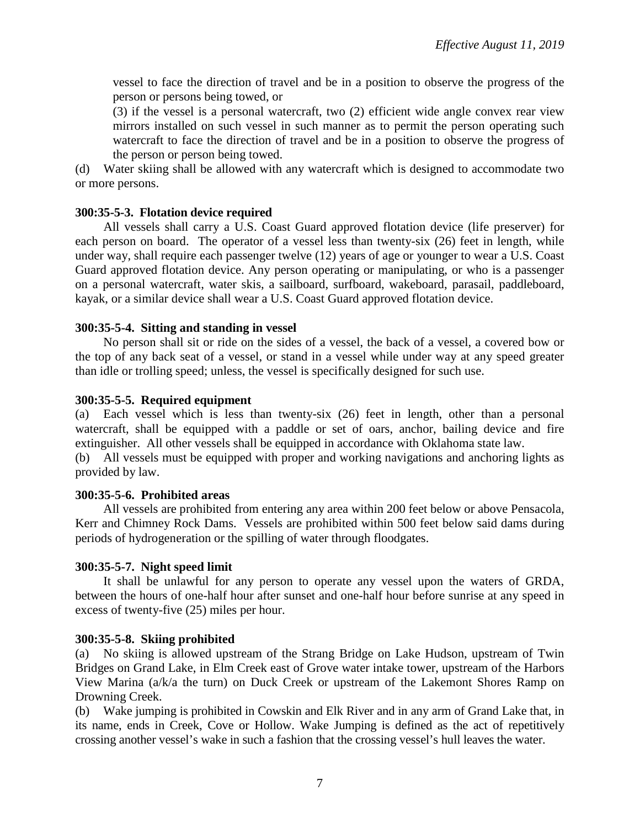vessel to face the direction of travel and be in a position to observe the progress of the person or persons being towed, or

(3) if the vessel is a personal watercraft, two (2) efficient wide angle convex rear view mirrors installed on such vessel in such manner as to permit the person operating such watercraft to face the direction of travel and be in a position to observe the progress of the person or person being towed.

(d) Water skiing shall be allowed with any watercraft which is designed to accommodate two or more persons.

## **300:35-5-3. Flotation device required**

All vessels shall carry a U.S. Coast Guard approved flotation device (life preserver) for each person on board. The operator of a vessel less than twenty-six (26) feet in length, while under way, shall require each passenger twelve (12) years of age or younger to wear a U.S. Coast Guard approved flotation device. Any person operating or manipulating, or who is a passenger on a personal watercraft, water skis, a sailboard, surfboard, wakeboard, parasail, paddleboard, kayak, or a similar device shall wear a U.S. Coast Guard approved flotation device.

### **300:35-5-4. Sitting and standing in vessel**

No person shall sit or ride on the sides of a vessel, the back of a vessel, a covered bow or the top of any back seat of a vessel, or stand in a vessel while under way at any speed greater than idle or trolling speed; unless, the vessel is specifically designed for such use.

### **300:35-5-5. Required equipment**

(a) Each vessel which is less than twenty-six (26) feet in length, other than a personal watercraft, shall be equipped with a paddle or set of oars, anchor, bailing device and fire extinguisher. All other vessels shall be equipped in accordance with Oklahoma state law.

(b) All vessels must be equipped with proper and working navigations and anchoring lights as provided by law.

#### **300:35-5-6. Prohibited areas**

All vessels are prohibited from entering any area within 200 feet below or above Pensacola, Kerr and Chimney Rock Dams. Vessels are prohibited within 500 feet below said dams during periods of hydrogeneration or the spilling of water through floodgates.

## **300:35-5-7. Night speed limit**

It shall be unlawful for any person to operate any vessel upon the waters of GRDA, between the hours of one-half hour after sunset and one-half hour before sunrise at any speed in excess of twenty-five (25) miles per hour.

#### **300:35-5-8. Skiing prohibited**

(a) No skiing is allowed upstream of the Strang Bridge on Lake Hudson, upstream of Twin Bridges on Grand Lake, in Elm Creek east of Grove water intake tower, upstream of the Harbors View Marina (a/k/a the turn) on Duck Creek or upstream of the Lakemont Shores Ramp on Drowning Creek.

(b) Wake jumping is prohibited in Cowskin and Elk River and in any arm of Grand Lake that, in its name, ends in Creek, Cove or Hollow. Wake Jumping is defined as the act of repetitively crossing another vessel's wake in such a fashion that the crossing vessel's hull leaves the water.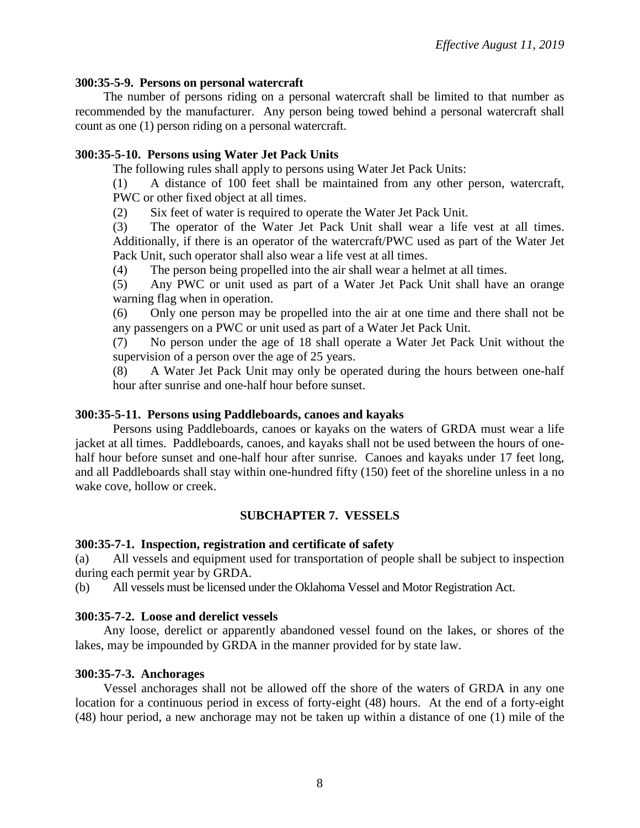### **300:35-5-9. Persons on personal watercraft**

The number of persons riding on a personal watercraft shall be limited to that number as recommended by the manufacturer. Any person being towed behind a personal watercraft shall count as one (1) person riding on a personal watercraft.

## **300:35-5-10. Persons using Water Jet Pack Units**

The following rules shall apply to persons using Water Jet Pack Units:

(1) A distance of 100 feet shall be maintained from any other person, watercraft, PWC or other fixed object at all times.

(2) Six feet of water is required to operate the Water Jet Pack Unit.

(3) The operator of the Water Jet Pack Unit shall wear a life vest at all times. Additionally, if there is an operator of the watercraft/PWC used as part of the Water Jet Pack Unit, such operator shall also wear a life vest at all times.

(4) The person being propelled into the air shall wear a helmet at all times.

(5) Any PWC or unit used as part of a Water Jet Pack Unit shall have an orange warning flag when in operation.

(6) Only one person may be propelled into the air at one time and there shall not be any passengers on a PWC or unit used as part of a Water Jet Pack Unit.

(7) No person under the age of 18 shall operate a Water Jet Pack Unit without the supervision of a person over the age of 25 years.

(8) A Water Jet Pack Unit may only be operated during the hours between one-half hour after sunrise and one-half hour before sunset.

### **300:35-5-11. Persons using Paddleboards, canoes and kayaks**

Persons using Paddleboards, canoes or kayaks on the waters of GRDA must wear a life jacket at all times. Paddleboards, canoes, and kayaks shall not be used between the hours of onehalf hour before sunset and one-half hour after sunrise. Canoes and kayaks under 17 feet long, and all Paddleboards shall stay within one-hundred fifty (150) feet of the shoreline unless in a no wake cove, hollow or creek.

## **SUBCHAPTER 7. VESSELS**

## **300:35-7-1. Inspection, registration and certificate of safety**

(a) All vessels and equipment used for transportation of people shall be subject to inspection during each permit year by GRDA.

(b) All vessels must be licensed under the Oklahoma Vessel and Motor Registration Act.

## **300:35-7-2. Loose and derelict vessels**

Any loose, derelict or apparently abandoned vessel found on the lakes, or shores of the lakes, may be impounded by GRDA in the manner provided for by state law.

## **300:35-7-3. Anchorages**

Vessel anchorages shall not be allowed off the shore of the waters of GRDA in any one location for a continuous period in excess of forty-eight (48) hours. At the end of a forty-eight (48) hour period, a new anchorage may not be taken up within a distance of one (1) mile of the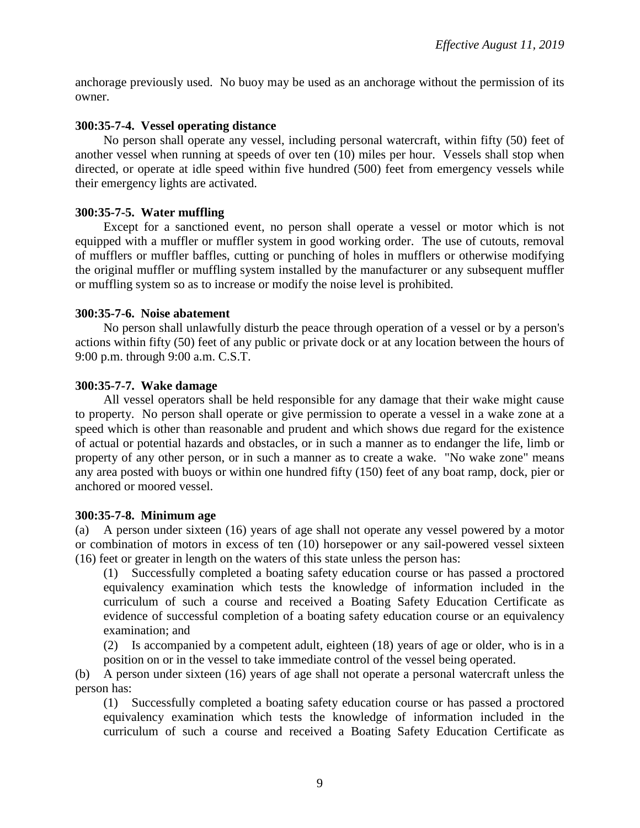anchorage previously used. No buoy may be used as an anchorage without the permission of its owner.

### **300:35-7-4. Vessel operating distance**

No person shall operate any vessel, including personal watercraft, within fifty (50) feet of another vessel when running at speeds of over ten (10) miles per hour. Vessels shall stop when directed, or operate at idle speed within five hundred (500) feet from emergency vessels while their emergency lights are activated.

### **300:35-7-5. Water muffling**

Except for a sanctioned event, no person shall operate a vessel or motor which is not equipped with a muffler or muffler system in good working order. The use of cutouts, removal of mufflers or muffler baffles, cutting or punching of holes in mufflers or otherwise modifying the original muffler or muffling system installed by the manufacturer or any subsequent muffler or muffling system so as to increase or modify the noise level is prohibited.

#### **300:35-7-6. Noise abatement**

No person shall unlawfully disturb the peace through operation of a vessel or by a person's actions within fifty (50) feet of any public or private dock or at any location between the hours of 9:00 p.m. through 9:00 a.m. C.S.T.

## **300:35-7-7. Wake damage**

All vessel operators shall be held responsible for any damage that their wake might cause to property. No person shall operate or give permission to operate a vessel in a wake zone at a speed which is other than reasonable and prudent and which shows due regard for the existence of actual or potential hazards and obstacles, or in such a manner as to endanger the life, limb or property of any other person, or in such a manner as to create a wake. "No wake zone" means any area posted with buoys or within one hundred fifty (150) feet of any boat ramp, dock, pier or anchored or moored vessel.

#### **300:35-7-8. Minimum age**

(a) A person under sixteen (16) years of age shall not operate any vessel powered by a motor or combination of motors in excess of ten (10) horsepower or any sail-powered vessel sixteen (16) feet or greater in length on the waters of this state unless the person has:

(1) Successfully completed a boating safety education course or has passed a proctored equivalency examination which tests the knowledge of information included in the curriculum of such a course and received a Boating Safety Education Certificate as evidence of successful completion of a boating safety education course or an equivalency examination; and

(2) Is accompanied by a competent adult, eighteen (18) years of age or older, who is in a position on or in the vessel to take immediate control of the vessel being operated.

(b) A person under sixteen (16) years of age shall not operate a personal watercraft unless the person has:

(1) Successfully completed a boating safety education course or has passed a proctored equivalency examination which tests the knowledge of information included in the curriculum of such a course and received a Boating Safety Education Certificate as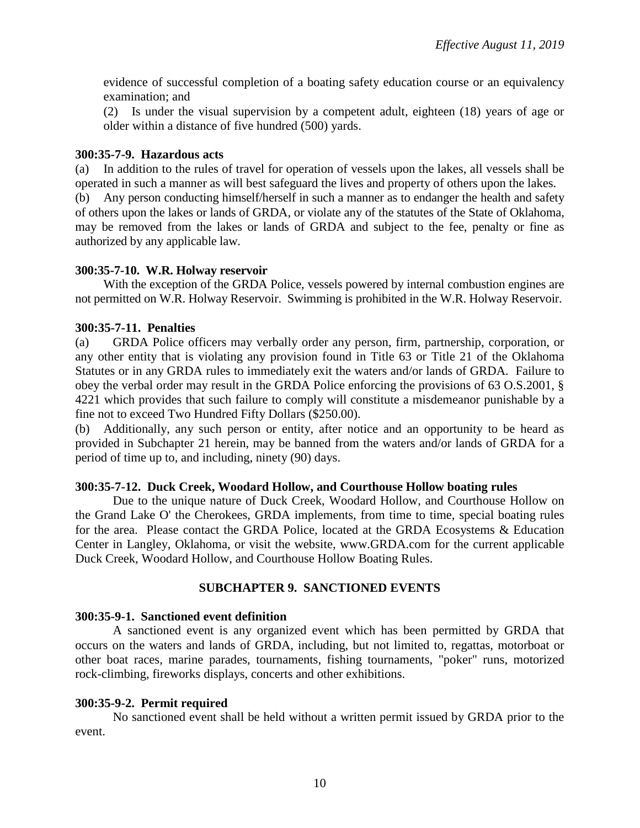evidence of successful completion of a boating safety education course or an equivalency examination; and

(2) Is under the visual supervision by a competent adult, eighteen (18) years of age or older within a distance of five hundred (500) yards.

#### **300:35-7-9. Hazardous acts**

(a) In addition to the rules of travel for operation of vessels upon the lakes, all vessels shall be operated in such a manner as will best safeguard the lives and property of others upon the lakes.

(b) Any person conducting himself/herself in such a manner as to endanger the health and safety of others upon the lakes or lands of GRDA, or violate any of the statutes of the State of Oklahoma, may be removed from the lakes or lands of GRDA and subject to the fee, penalty or fine as authorized by any applicable law.

### **300:35-7-10. W.R. Holway reservoir**

With the exception of the GRDA Police, vessels powered by internal combustion engines are not permitted on W.R. Holway Reservoir. Swimming is prohibited in the W.R. Holway Reservoir.

### **300:35-7-11. Penalties**

(a) GRDA Police officers may verbally order any person, firm, partnership, corporation, or any other entity that is violating any provision found in Title 63 or Title 21 of the Oklahoma Statutes or in any GRDA rules to immediately exit the waters and/or lands of GRDA. Failure to obey the verbal order may result in the GRDA Police enforcing the provisions of 63 O.S.2001, § 4221 which provides that such failure to comply will constitute a misdemeanor punishable by a fine not to exceed Two Hundred Fifty Dollars (\$250.00).

(b) Additionally, any such person or entity, after notice and an opportunity to be heard as provided in Subchapter 21 herein, may be banned from the waters and/or lands of GRDA for a period of time up to, and including, ninety (90) days.

#### **300:35-7-12. Duck Creek, Woodard Hollow, and Courthouse Hollow boating rules**

Due to the unique nature of Duck Creek, Woodard Hollow, and Courthouse Hollow on the Grand Lake O' the Cherokees, GRDA implements, from time to time, special boating rules for the area. Please contact the GRDA Police, located at the GRDA Ecosystems & Education Center in Langley, Oklahoma, or visit the website, www.GRDA.com for the current applicable Duck Creek, Woodard Hollow, and Courthouse Hollow Boating Rules.

## **SUBCHAPTER 9. SANCTIONED EVENTS**

#### **300:35-9-1. Sanctioned event definition**

A sanctioned event is any organized event which has been permitted by GRDA that occurs on the waters and lands of GRDA, including, but not limited to, regattas, motorboat or other boat races, marine parades, tournaments, fishing tournaments, "poker" runs, motorized rock-climbing, fireworks displays, concerts and other exhibitions.

#### **300:35-9-2. Permit required**

No sanctioned event shall be held without a written permit issued by GRDA prior to the event.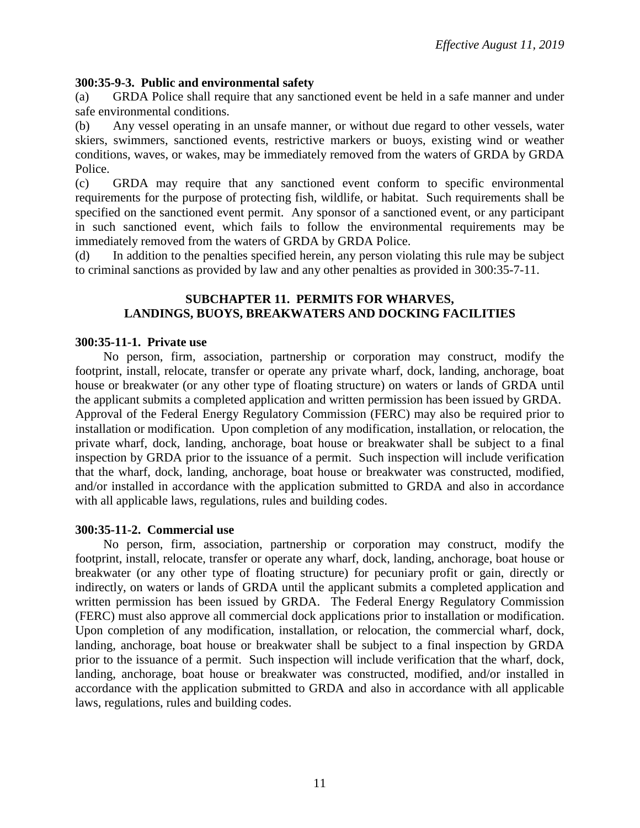### **300:35-9-3. Public and environmental safety**

(a) GRDA Police shall require that any sanctioned event be held in a safe manner and under safe environmental conditions.

(b) Any vessel operating in an unsafe manner, or without due regard to other vessels, water skiers, swimmers, sanctioned events, restrictive markers or buoys, existing wind or weather conditions, waves, or wakes, may be immediately removed from the waters of GRDA by GRDA Police.

(c) GRDA may require that any sanctioned event conform to specific environmental requirements for the purpose of protecting fish, wildlife, or habitat. Such requirements shall be specified on the sanctioned event permit. Any sponsor of a sanctioned event, or any participant in such sanctioned event, which fails to follow the environmental requirements may be immediately removed from the waters of GRDA by GRDA Police.

(d) In addition to the penalties specified herein, any person violating this rule may be subject to criminal sanctions as provided by law and any other penalties as provided in 300:35-7-11.

#### **SUBCHAPTER 11. PERMITS FOR WHARVES, LANDINGS, BUOYS, BREAKWATERS AND DOCKING FACILITIES**

#### **300:35-11-1. Private use**

No person, firm, association, partnership or corporation may construct, modify the footprint, install, relocate, transfer or operate any private wharf, dock, landing, anchorage, boat house or breakwater (or any other type of floating structure) on waters or lands of GRDA until the applicant submits a completed application and written permission has been issued by GRDA. Approval of the Federal Energy Regulatory Commission (FERC) may also be required prior to installation or modification. Upon completion of any modification, installation, or relocation, the private wharf, dock, landing, anchorage, boat house or breakwater shall be subject to a final inspection by GRDA prior to the issuance of a permit. Such inspection will include verification that the wharf, dock, landing, anchorage, boat house or breakwater was constructed, modified, and/or installed in accordance with the application submitted to GRDA and also in accordance with all applicable laws, regulations, rules and building codes.

#### **300:35-11-2. Commercial use**

No person, firm, association, partnership or corporation may construct, modify the footprint, install, relocate, transfer or operate any wharf, dock, landing, anchorage, boat house or breakwater (or any other type of floating structure) for pecuniary profit or gain, directly or indirectly, on waters or lands of GRDA until the applicant submits a completed application and written permission has been issued by GRDA. The Federal Energy Regulatory Commission (FERC) must also approve all commercial dock applications prior to installation or modification. Upon completion of any modification, installation, or relocation, the commercial wharf, dock, landing, anchorage, boat house or breakwater shall be subject to a final inspection by GRDA prior to the issuance of a permit. Such inspection will include verification that the wharf, dock, landing, anchorage, boat house or breakwater was constructed, modified, and/or installed in accordance with the application submitted to GRDA and also in accordance with all applicable laws, regulations, rules and building codes.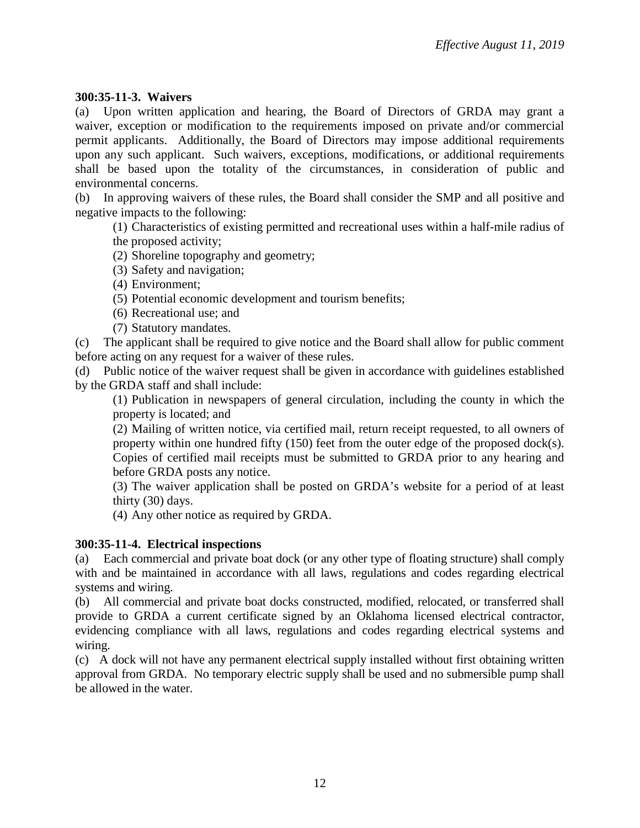### **300:35-11-3. Waivers**

(a) Upon written application and hearing, the Board of Directors of GRDA may grant a waiver, exception or modification to the requirements imposed on private and/or commercial permit applicants. Additionally, the Board of Directors may impose additional requirements upon any such applicant. Such waivers, exceptions, modifications, or additional requirements shall be based upon the totality of the circumstances, in consideration of public and environmental concerns.

(b) In approving waivers of these rules, the Board shall consider the SMP and all positive and negative impacts to the following:

(1) Characteristics of existing permitted and recreational uses within a half-mile radius of the proposed activity;

(2) Shoreline topography and geometry;

(3) Safety and navigation;

(4) Environment;

(5) Potential economic development and tourism benefits;

(6) Recreational use; and

(7) Statutory mandates.

(c) The applicant shall be required to give notice and the Board shall allow for public comment before acting on any request for a waiver of these rules.

(d) Public notice of the waiver request shall be given in accordance with guidelines established by the GRDA staff and shall include:

(1) Publication in newspapers of general circulation, including the county in which the property is located; and

(2) Mailing of written notice, via certified mail, return receipt requested, to all owners of property within one hundred fifty (150) feet from the outer edge of the proposed dock(s). Copies of certified mail receipts must be submitted to GRDA prior to any hearing and before GRDA posts any notice.

(3) The waiver application shall be posted on GRDA's website for a period of at least thirty (30) days.

(4) Any other notice as required by GRDA.

#### **300:35-11-4. Electrical inspections**

(a) Each commercial and private boat dock (or any other type of floating structure) shall comply with and be maintained in accordance with all laws, regulations and codes regarding electrical systems and wiring.

(b) All commercial and private boat docks constructed, modified, relocated, or transferred shall provide to GRDA a current certificate signed by an Oklahoma licensed electrical contractor, evidencing compliance with all laws, regulations and codes regarding electrical systems and wiring.

(c) A dock will not have any permanent electrical supply installed without first obtaining written approval from GRDA. No temporary electric supply shall be used and no submersible pump shall be allowed in the water.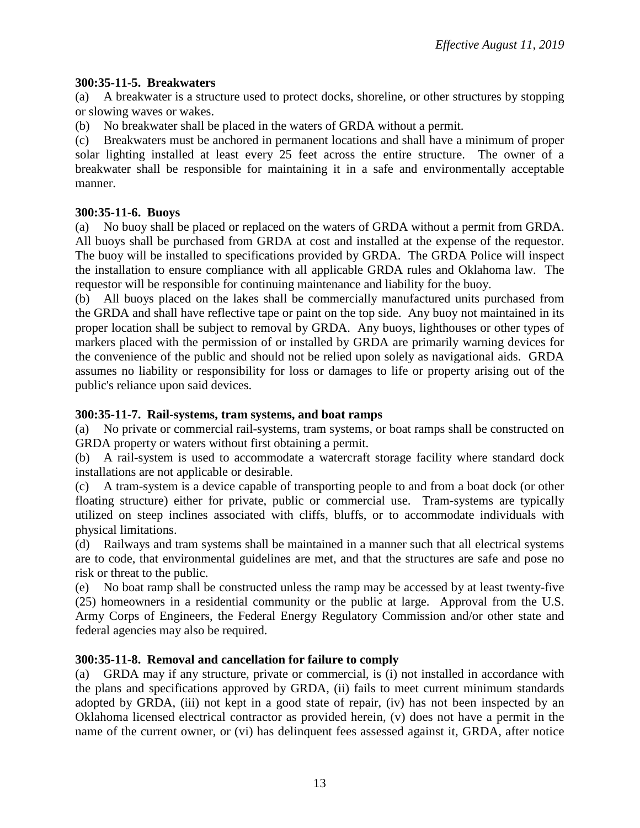# **300:35-11-5. Breakwaters**

(a) A breakwater is a structure used to protect docks, shoreline, or other structures by stopping or slowing waves or wakes.

(b) No breakwater shall be placed in the waters of GRDA without a permit.

(c) Breakwaters must be anchored in permanent locations and shall have a minimum of proper solar lighting installed at least every 25 feet across the entire structure. The owner of a breakwater shall be responsible for maintaining it in a safe and environmentally acceptable manner.

# **300:35-11-6. Buoys**

(a) No buoy shall be placed or replaced on the waters of GRDA without a permit from GRDA. All buoys shall be purchased from GRDA at cost and installed at the expense of the requestor. The buoy will be installed to specifications provided by GRDA. The GRDA Police will inspect the installation to ensure compliance with all applicable GRDA rules and Oklahoma law. The requestor will be responsible for continuing maintenance and liability for the buoy.

(b) All buoys placed on the lakes shall be commercially manufactured units purchased from the GRDA and shall have reflective tape or paint on the top side. Any buoy not maintained in its proper location shall be subject to removal by GRDA. Any buoys, lighthouses or other types of markers placed with the permission of or installed by GRDA are primarily warning devices for the convenience of the public and should not be relied upon solely as navigational aids. GRDA assumes no liability or responsibility for loss or damages to life or property arising out of the public's reliance upon said devices.

# **300:35-11-7. Rail-systems, tram systems, and boat ramps**

(a) No private or commercial rail-systems, tram systems, or boat ramps shall be constructed on GRDA property or waters without first obtaining a permit.

(b) A rail-system is used to accommodate a watercraft storage facility where standard dock installations are not applicable or desirable.

(c) A tram-system is a device capable of transporting people to and from a boat dock (or other floating structure) either for private, public or commercial use. Tram-systems are typically utilized on steep inclines associated with cliffs, bluffs, or to accommodate individuals with physical limitations.

(d) Railways and tram systems shall be maintained in a manner such that all electrical systems are to code, that environmental guidelines are met, and that the structures are safe and pose no risk or threat to the public.

(e) No boat ramp shall be constructed unless the ramp may be accessed by at least twenty-five (25) homeowners in a residential community or the public at large. Approval from the U.S. Army Corps of Engineers, the Federal Energy Regulatory Commission and/or other state and federal agencies may also be required.

# **300:35-11-8. Removal and cancellation for failure to comply**

(a) GRDA may if any structure, private or commercial, is (i) not installed in accordance with the plans and specifications approved by GRDA, (ii) fails to meet current minimum standards adopted by GRDA, (iii) not kept in a good state of repair, (iv) has not been inspected by an Oklahoma licensed electrical contractor as provided herein, (v) does not have a permit in the name of the current owner, or (vi) has delinquent fees assessed against it, GRDA, after notice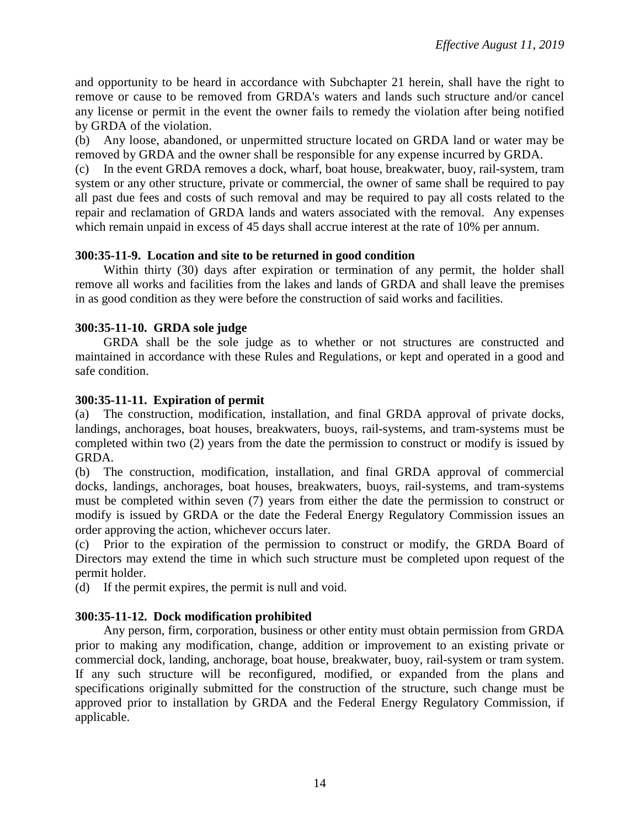and opportunity to be heard in accordance with Subchapter 21 herein, shall have the right to remove or cause to be removed from GRDA's waters and lands such structure and/or cancel any license or permit in the event the owner fails to remedy the violation after being notified by GRDA of the violation.

(b) Any loose, abandoned, or unpermitted structure located on GRDA land or water may be removed by GRDA and the owner shall be responsible for any expense incurred by GRDA.

(c) In the event GRDA removes a dock, wharf, boat house, breakwater, buoy, rail-system, tram system or any other structure, private or commercial, the owner of same shall be required to pay all past due fees and costs of such removal and may be required to pay all costs related to the repair and reclamation of GRDA lands and waters associated with the removal. Any expenses which remain unpaid in excess of 45 days shall accrue interest at the rate of 10% per annum.

### **300:35-11-9. Location and site to be returned in good condition**

Within thirty (30) days after expiration or termination of any permit, the holder shall remove all works and facilities from the lakes and lands of GRDA and shall leave the premises in as good condition as they were before the construction of said works and facilities.

### **300:35-11-10. GRDA sole judge**

GRDA shall be the sole judge as to whether or not structures are constructed and maintained in accordance with these Rules and Regulations, or kept and operated in a good and safe condition.

### **300:35-11-11. Expiration of permit**

(a) The construction, modification, installation, and final GRDA approval of private docks, landings, anchorages, boat houses, breakwaters, buoys, rail-systems, and tram-systems must be completed within two (2) years from the date the permission to construct or modify is issued by GRDA.

(b) The construction, modification, installation, and final GRDA approval of commercial docks, landings, anchorages, boat houses, breakwaters, buoys, rail-systems, and tram-systems must be completed within seven (7) years from either the date the permission to construct or modify is issued by GRDA or the date the Federal Energy Regulatory Commission issues an order approving the action, whichever occurs later.

(c) Prior to the expiration of the permission to construct or modify, the GRDA Board of Directors may extend the time in which such structure must be completed upon request of the permit holder.

(d) If the permit expires, the permit is null and void.

## **300:35-11-12. Dock modification prohibited**

Any person, firm, corporation, business or other entity must obtain permission from GRDA prior to making any modification, change, addition or improvement to an existing private or commercial dock, landing, anchorage, boat house, breakwater, buoy, rail-system or tram system. If any such structure will be reconfigured, modified, or expanded from the plans and specifications originally submitted for the construction of the structure, such change must be approved prior to installation by GRDA and the Federal Energy Regulatory Commission, if applicable.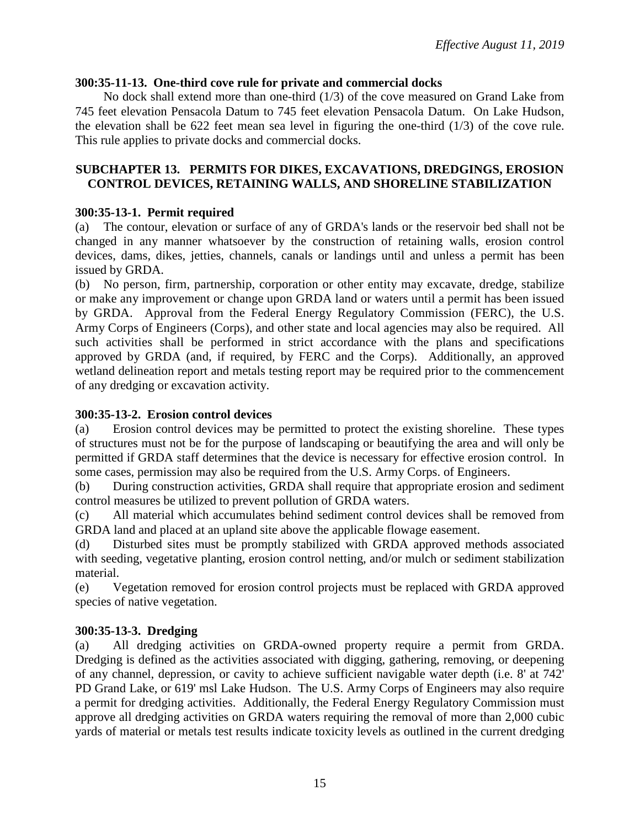## **300:35-11-13. One-third cove rule for private and commercial docks**

No dock shall extend more than one-third (1/3) of the cove measured on Grand Lake from 745 feet elevation Pensacola Datum to 745 feet elevation Pensacola Datum. On Lake Hudson, the elevation shall be 622 feet mean sea level in figuring the one-third (1/3) of the cove rule. This rule applies to private docks and commercial docks.

## **SUBCHAPTER 13. PERMITS FOR DIKES, EXCAVATIONS, DREDGINGS, EROSION CONTROL DEVICES, RETAINING WALLS, AND SHORELINE STABILIZATION**

# **300:35-13-1. Permit required**

(a) The contour, elevation or surface of any of GRDA's lands or the reservoir bed shall not be changed in any manner whatsoever by the construction of retaining walls, erosion control devices, dams, dikes, jetties, channels, canals or landings until and unless a permit has been issued by GRDA.

(b) No person, firm, partnership, corporation or other entity may excavate, dredge, stabilize or make any improvement or change upon GRDA land or waters until a permit has been issued by GRDA. Approval from the Federal Energy Regulatory Commission (FERC), the U.S. Army Corps of Engineers (Corps), and other state and local agencies may also be required. All such activities shall be performed in strict accordance with the plans and specifications approved by GRDA (and, if required, by FERC and the Corps). Additionally, an approved wetland delineation report and metals testing report may be required prior to the commencement of any dredging or excavation activity.

## **300:35-13-2. Erosion control devices**

(a) Erosion control devices may be permitted to protect the existing shoreline. These types of structures must not be for the purpose of landscaping or beautifying the area and will only be permitted if GRDA staff determines that the device is necessary for effective erosion control. In some cases, permission may also be required from the U.S. Army Corps. of Engineers.

(b) During construction activities, GRDA shall require that appropriate erosion and sediment control measures be utilized to prevent pollution of GRDA waters.

(c) All material which accumulates behind sediment control devices shall be removed from GRDA land and placed at an upland site above the applicable flowage easement.

(d) Disturbed sites must be promptly stabilized with GRDA approved methods associated with seeding, vegetative planting, erosion control netting, and/or mulch or sediment stabilization material.

(e) Vegetation removed for erosion control projects must be replaced with GRDA approved species of native vegetation.

# **300:35-13-3. Dredging**

(a) All dredging activities on GRDA-owned property require a permit from GRDA. Dredging is defined as the activities associated with digging, gathering, removing, or deepening of any channel, depression, or cavity to achieve sufficient navigable water depth (i.e. 8' at 742' PD Grand Lake, or 619' msl Lake Hudson. The U.S. Army Corps of Engineers may also require a permit for dredging activities. Additionally, the Federal Energy Regulatory Commission must approve all dredging activities on GRDA waters requiring the removal of more than 2,000 cubic yards of material or metals test results indicate toxicity levels as outlined in the current dredging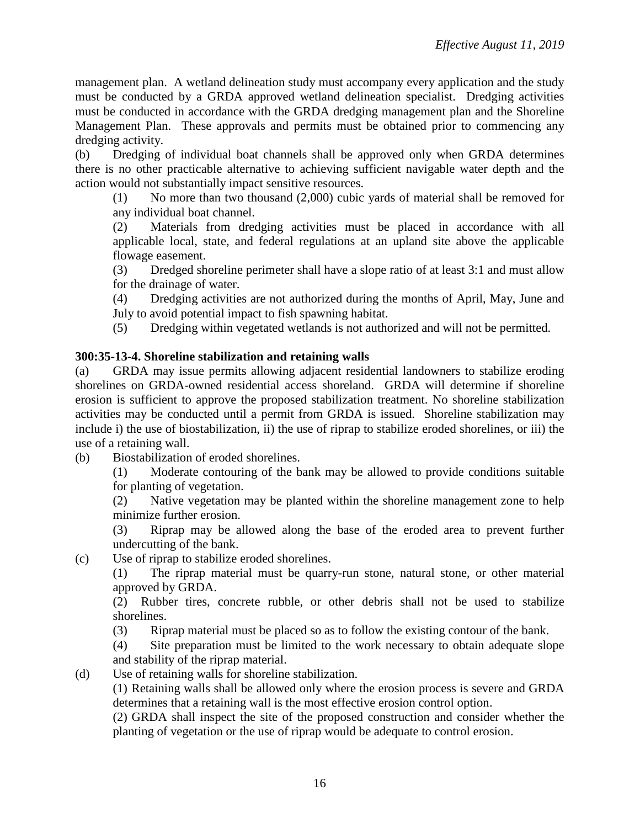management plan. A wetland delineation study must accompany every application and the study must be conducted by a GRDA approved wetland delineation specialist. Dredging activities must be conducted in accordance with the GRDA dredging management plan and the Shoreline Management Plan. These approvals and permits must be obtained prior to commencing any dredging activity.

(b) Dredging of individual boat channels shall be approved only when GRDA determines there is no other practicable alternative to achieving sufficient navigable water depth and the action would not substantially impact sensitive resources.

(1) No more than two thousand (2,000) cubic yards of material shall be removed for any individual boat channel.

(2) Materials from dredging activities must be placed in accordance with all applicable local, state, and federal regulations at an upland site above the applicable flowage easement.

(3) Dredged shoreline perimeter shall have a slope ratio of at least 3:1 and must allow for the drainage of water.

(4) Dredging activities are not authorized during the months of April, May, June and July to avoid potential impact to fish spawning habitat.

(5) Dredging within vegetated wetlands is not authorized and will not be permitted.

# **300:35-13-4. Shoreline stabilization and retaining walls**

(a) GRDA may issue permits allowing adjacent residential landowners to stabilize eroding shorelines on GRDA-owned residential access shoreland. GRDA will determine if shoreline erosion is sufficient to approve the proposed stabilization treatment. No shoreline stabilization activities may be conducted until a permit from GRDA is issued. Shoreline stabilization may include i) the use of biostabilization, ii) the use of riprap to stabilize eroded shorelines, or iii) the use of a retaining wall.

(b) Biostabilization of eroded shorelines.

(1) Moderate contouring of the bank may be allowed to provide conditions suitable for planting of vegetation.

(2) Native vegetation may be planted within the shoreline management zone to help minimize further erosion.

(3) Riprap may be allowed along the base of the eroded area to prevent further undercutting of the bank.

(c) Use of riprap to stabilize eroded shorelines.

(1) The riprap material must be quarry-run stone, natural stone, or other material approved by GRDA.

(2) Rubber tires, concrete rubble, or other debris shall not be used to stabilize shorelines.

(3) Riprap material must be placed so as to follow the existing contour of the bank.

(4) Site preparation must be limited to the work necessary to obtain adequate slope and stability of the riprap material.

(d) Use of retaining walls for shoreline stabilization.

(1) Retaining walls shall be allowed only where the erosion process is severe and GRDA determines that a retaining wall is the most effective erosion control option.

(2) GRDA shall inspect the site of the proposed construction and consider whether the planting of vegetation or the use of riprap would be adequate to control erosion.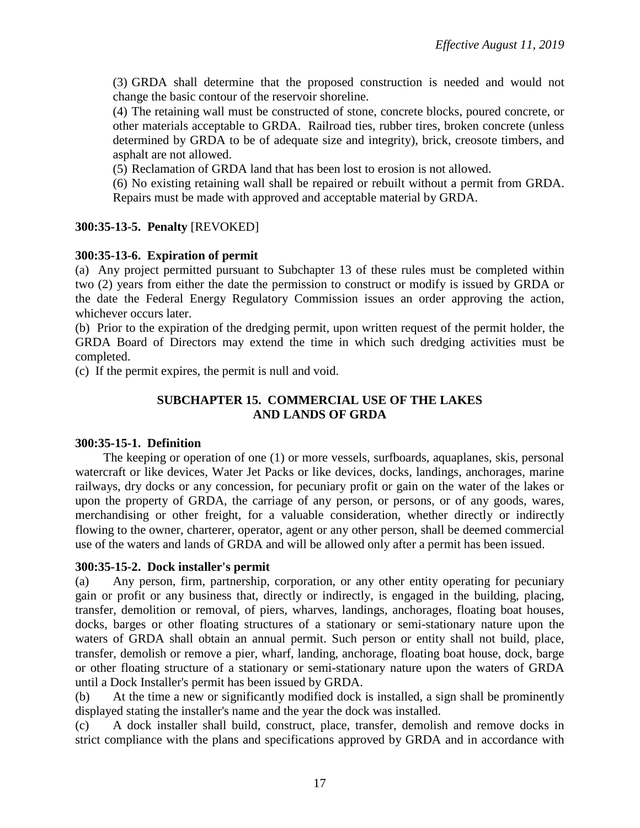(3) GRDA shall determine that the proposed construction is needed and would not change the basic contour of the reservoir shoreline.

(4) The retaining wall must be constructed of stone, concrete blocks, poured concrete, or other materials acceptable to GRDA. Railroad ties, rubber tires, broken concrete (unless determined by GRDA to be of adequate size and integrity), brick, creosote timbers, and asphalt are not allowed.

(5) Reclamation of GRDA land that has been lost to erosion is not allowed.

(6) No existing retaining wall shall be repaired or rebuilt without a permit from GRDA. Repairs must be made with approved and acceptable material by GRDA.

## **300:35-13-5. Penalty** [REVOKED]

## **300:35-13-6. Expiration of permit**

(a) Any project permitted pursuant to Subchapter 13 of these rules must be completed within two (2) years from either the date the permission to construct or modify is issued by GRDA or the date the Federal Energy Regulatory Commission issues an order approving the action, whichever occurs later.

(b) Prior to the expiration of the dredging permit, upon written request of the permit holder, the GRDA Board of Directors may extend the time in which such dredging activities must be completed.

(c) If the permit expires, the permit is null and void.

## **SUBCHAPTER 15. COMMERCIAL USE OF THE LAKES AND LANDS OF GRDA**

## **300:35-15-1. Definition**

The keeping or operation of one (1) or more vessels, surfboards, aquaplanes, skis, personal watercraft or like devices, Water Jet Packs or like devices, docks, landings, anchorages, marine railways, dry docks or any concession, for pecuniary profit or gain on the water of the lakes or upon the property of GRDA, the carriage of any person, or persons, or of any goods, wares, merchandising or other freight, for a valuable consideration, whether directly or indirectly flowing to the owner, charterer, operator, agent or any other person, shall be deemed commercial use of the waters and lands of GRDA and will be allowed only after a permit has been issued.

#### **300:35-15-2. Dock installer's permit**

(a) Any person, firm, partnership, corporation, or any other entity operating for pecuniary gain or profit or any business that, directly or indirectly, is engaged in the building, placing, transfer, demolition or removal, of piers, wharves, landings, anchorages, floating boat houses, docks, barges or other floating structures of a stationary or semi-stationary nature upon the waters of GRDA shall obtain an annual permit. Such person or entity shall not build, place, transfer, demolish or remove a pier, wharf, landing, anchorage, floating boat house, dock, barge or other floating structure of a stationary or semi-stationary nature upon the waters of GRDA until a Dock Installer's permit has been issued by GRDA.

(b) At the time a new or significantly modified dock is installed, a sign shall be prominently displayed stating the installer's name and the year the dock was installed.

(c) A dock installer shall build, construct, place, transfer, demolish and remove docks in strict compliance with the plans and specifications approved by GRDA and in accordance with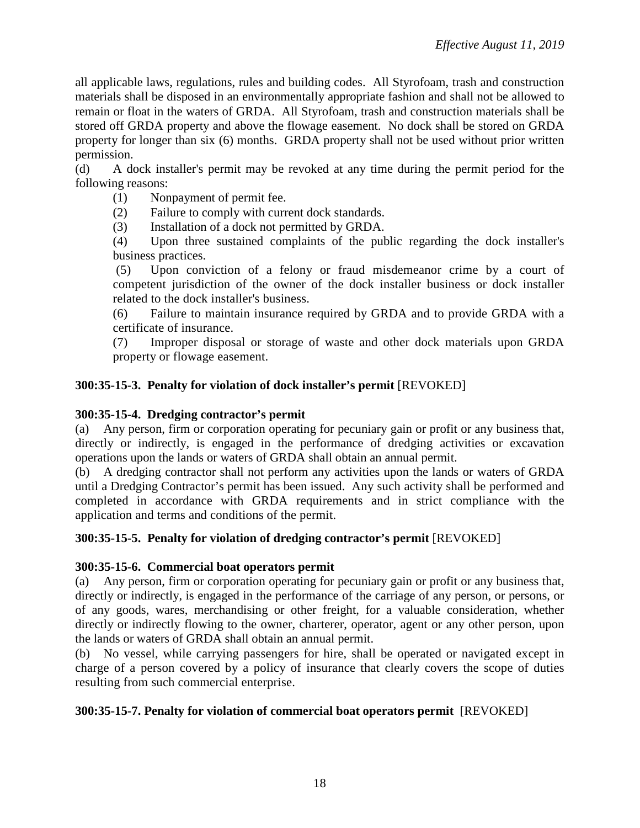all applicable laws, regulations, rules and building codes. All Styrofoam, trash and construction materials shall be disposed in an environmentally appropriate fashion and shall not be allowed to remain or float in the waters of GRDA. All Styrofoam, trash and construction materials shall be stored off GRDA property and above the flowage easement. No dock shall be stored on GRDA property for longer than six (6) months. GRDA property shall not be used without prior written permission.

(d) A dock installer's permit may be revoked at any time during the permit period for the following reasons:

(1) Nonpayment of permit fee.

(2) Failure to comply with current dock standards.

(3) Installation of a dock not permitted by GRDA.

(4) Upon three sustained complaints of the public regarding the dock installer's business practices.

(5) Upon conviction of a felony or fraud misdemeanor crime by a court of competent jurisdiction of the owner of the dock installer business or dock installer related to the dock installer's business.

(6) Failure to maintain insurance required by GRDA and to provide GRDA with a certificate of insurance.

(7) Improper disposal or storage of waste and other dock materials upon GRDA property or flowage easement.

# **300:35-15-3. Penalty for violation of dock installer's permit** [REVOKED]

## **300:35-15-4. Dredging contractor's permit**

(a) Any person, firm or corporation operating for pecuniary gain or profit or any business that, directly or indirectly, is engaged in the performance of dredging activities or excavation operations upon the lands or waters of GRDA shall obtain an annual permit.

(b) A dredging contractor shall not perform any activities upon the lands or waters of GRDA until a Dredging Contractor's permit has been issued. Any such activity shall be performed and completed in accordance with GRDA requirements and in strict compliance with the application and terms and conditions of the permit.

## **300:35-15-5. Penalty for violation of dredging contractor's permit** [REVOKED]

## **300:35-15-6. Commercial boat operators permit**

(a) Any person, firm or corporation operating for pecuniary gain or profit or any business that, directly or indirectly, is engaged in the performance of the carriage of any person, or persons, or of any goods, wares, merchandising or other freight, for a valuable consideration, whether directly or indirectly flowing to the owner, charterer, operator, agent or any other person, upon the lands or waters of GRDA shall obtain an annual permit.

(b) No vessel, while carrying passengers for hire, shall be operated or navigated except in charge of a person covered by a policy of insurance that clearly covers the scope of duties resulting from such commercial enterprise.

## **300:35-15-7. Penalty for violation of commercial boat operators permit** [REVOKED]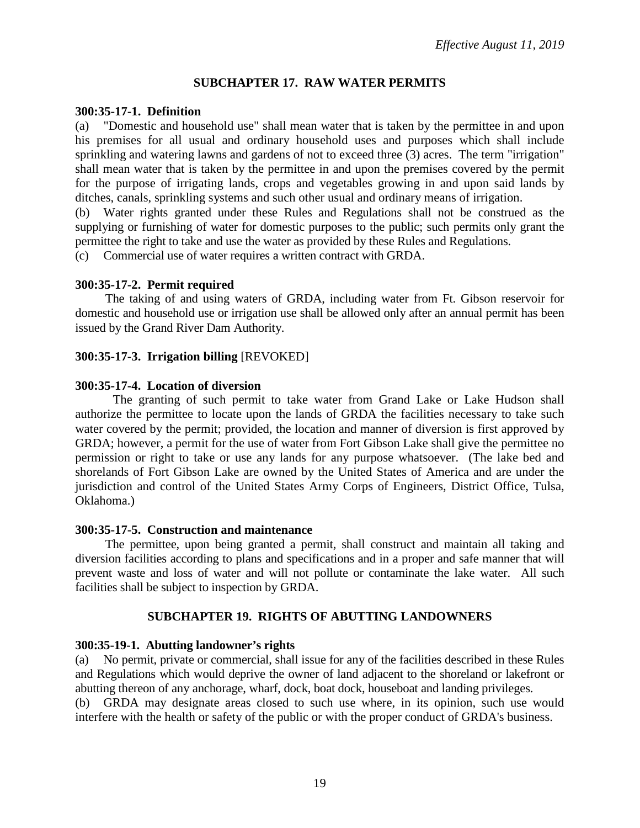## **SUBCHAPTER 17. RAW WATER PERMITS**

#### **300:35-17-1. Definition**

(a) "Domestic and household use" shall mean water that is taken by the permittee in and upon his premises for all usual and ordinary household uses and purposes which shall include sprinkling and watering lawns and gardens of not to exceed three (3) acres. The term "irrigation" shall mean water that is taken by the permittee in and upon the premises covered by the permit for the purpose of irrigating lands, crops and vegetables growing in and upon said lands by ditches, canals, sprinkling systems and such other usual and ordinary means of irrigation.

(b) Water rights granted under these Rules and Regulations shall not be construed as the supplying or furnishing of water for domestic purposes to the public; such permits only grant the permittee the right to take and use the water as provided by these Rules and Regulations.

(c) Commercial use of water requires a written contract with GRDA.

### **300:35-17-2. Permit required**

The taking of and using waters of GRDA, including water from Ft. Gibson reservoir for domestic and household use or irrigation use shall be allowed only after an annual permit has been issued by the Grand River Dam Authority.

## **300:35-17-3. Irrigation billing** [REVOKED]

### **300:35-17-4. Location of diversion**

The granting of such permit to take water from Grand Lake or Lake Hudson shall authorize the permittee to locate upon the lands of GRDA the facilities necessary to take such water covered by the permit; provided, the location and manner of diversion is first approved by GRDA; however, a permit for the use of water from Fort Gibson Lake shall give the permittee no permission or right to take or use any lands for any purpose whatsoever. (The lake bed and shorelands of Fort Gibson Lake are owned by the United States of America and are under the jurisdiction and control of the United States Army Corps of Engineers, District Office, Tulsa, Oklahoma.)

#### **300:35-17-5. Construction and maintenance**

The permittee, upon being granted a permit, shall construct and maintain all taking and diversion facilities according to plans and specifications and in a proper and safe manner that will prevent waste and loss of water and will not pollute or contaminate the lake water. All such facilities shall be subject to inspection by GRDA.

#### **SUBCHAPTER 19. RIGHTS OF ABUTTING LANDOWNERS**

## **300:35-19-1. Abutting landowner's rights**

(a) No permit, private or commercial, shall issue for any of the facilities described in these Rules and Regulations which would deprive the owner of land adjacent to the shoreland or lakefront or abutting thereon of any anchorage, wharf, dock, boat dock, houseboat and landing privileges.

(b) GRDA may designate areas closed to such use where, in its opinion, such use would interfere with the health or safety of the public or with the proper conduct of GRDA's business.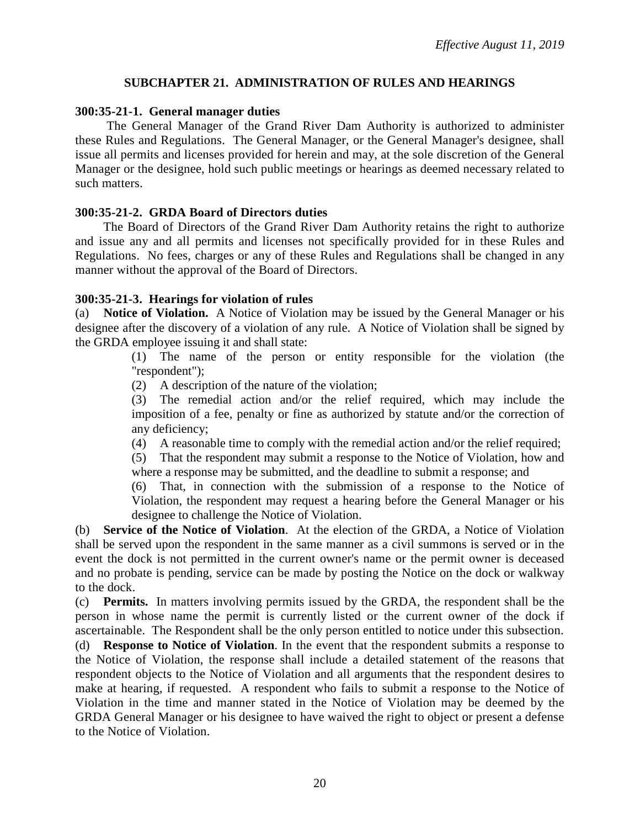### **SUBCHAPTER 21. ADMINISTRATION OF RULES AND HEARINGS**

#### **300:35-21-1. General manager duties**

The General Manager of the Grand River Dam Authority is authorized to administer these Rules and Regulations. The General Manager, or the General Manager's designee, shall issue all permits and licenses provided for herein and may, at the sole discretion of the General Manager or the designee, hold such public meetings or hearings as deemed necessary related to such matters.

### **300:35-21-2. GRDA Board of Directors duties**

The Board of Directors of the Grand River Dam Authority retains the right to authorize and issue any and all permits and licenses not specifically provided for in these Rules and Regulations. No fees, charges or any of these Rules and Regulations shall be changed in any manner without the approval of the Board of Directors.

### **300:35-21-3. Hearings for violation of rules**

(a) **Notice of Violation.** A Notice of Violation may be issued by the General Manager or his designee after the discovery of a violation of any rule. A Notice of Violation shall be signed by the GRDA employee issuing it and shall state:

> (1) The name of the person or entity responsible for the violation (the "respondent");

(2) A description of the nature of the violation;

(3) The remedial action and/or the relief required, which may include the imposition of a fee, penalty or fine as authorized by statute and/or the correction of any deficiency;

(4) A reasonable time to comply with the remedial action and/or the relief required;

(5) That the respondent may submit a response to the Notice of Violation, how and where a response may be submitted, and the deadline to submit a response; and

(6) That, in connection with the submission of a response to the Notice of Violation, the respondent may request a hearing before the General Manager or his designee to challenge the Notice of Violation.

(b) **Service of the Notice of Violation**. At the election of the GRDA, a Notice of Violation shall be served upon the respondent in the same manner as a civil summons is served or in the event the dock is not permitted in the current owner's name or the permit owner is deceased and no probate is pending, service can be made by posting the Notice on the dock or walkway to the dock.

(c) **Permits.** In matters involving permits issued by the GRDA, the respondent shall be the person in whose name the permit is currently listed or the current owner of the dock if ascertainable. The Respondent shall be the only person entitled to notice under this subsection.

(d) **Response to Notice of Violation**. In the event that the respondent submits a response to the Notice of Violation, the response shall include a detailed statement of the reasons that respondent objects to the Notice of Violation and all arguments that the respondent desires to make at hearing, if requested. A respondent who fails to submit a response to the Notice of Violation in the time and manner stated in the Notice of Violation may be deemed by the GRDA General Manager or his designee to have waived the right to object or present a defense to the Notice of Violation.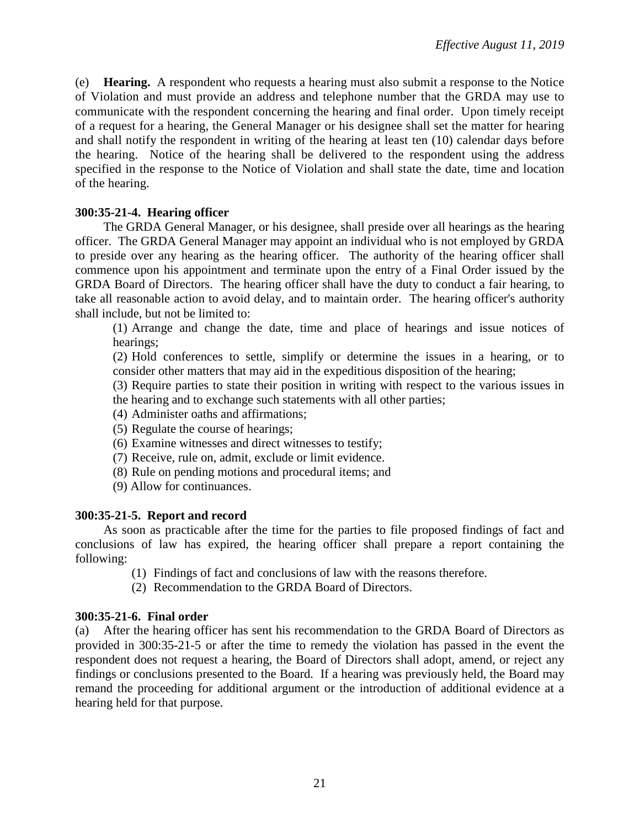(e) **Hearing.** A respondent who requests a hearing must also submit a response to the Notice of Violation and must provide an address and telephone number that the GRDA may use to communicate with the respondent concerning the hearing and final order. Upon timely receipt of a request for a hearing, the General Manager or his designee shall set the matter for hearing and shall notify the respondent in writing of the hearing at least ten (10) calendar days before the hearing. Notice of the hearing shall be delivered to the respondent using the address specified in the response to the Notice of Violation and shall state the date, time and location of the hearing.

# **300:35-21-4. Hearing officer**

The GRDA General Manager, or his designee, shall preside over all hearings as the hearing officer. The GRDA General Manager may appoint an individual who is not employed by GRDA to preside over any hearing as the hearing officer. The authority of the hearing officer shall commence upon his appointment and terminate upon the entry of a Final Order issued by the GRDA Board of Directors. The hearing officer shall have the duty to conduct a fair hearing, to take all reasonable action to avoid delay, and to maintain order. The hearing officer's authority shall include, but not be limited to:

(1) Arrange and change the date, time and place of hearings and issue notices of hearings;

(2) Hold conferences to settle, simplify or determine the issues in a hearing, or to consider other matters that may aid in the expeditious disposition of the hearing;

- (3) Require parties to state their position in writing with respect to the various issues in the hearing and to exchange such statements with all other parties;
- (4) Administer oaths and affirmations;
- (5) Regulate the course of hearings;
- (6) Examine witnesses and direct witnesses to testify;
- (7) Receive, rule on, admit, exclude or limit evidence.
- (8) Rule on pending motions and procedural items; and
- (9) Allow for continuances.

## **300:35-21-5. Report and record**

As soon as practicable after the time for the parties to file proposed findings of fact and conclusions of law has expired, the hearing officer shall prepare a report containing the following:

- (1) Findings of fact and conclusions of law with the reasons therefore.
- (2) Recommendation to the GRDA Board of Directors.

#### **300:35-21-6. Final order**

(a) After the hearing officer has sent his recommendation to the GRDA Board of Directors as provided in 300:35-21-5 or after the time to remedy the violation has passed in the event the respondent does not request a hearing, the Board of Directors shall adopt, amend, or reject any findings or conclusions presented to the Board. If a hearing was previously held, the Board may remand the proceeding for additional argument or the introduction of additional evidence at a hearing held for that purpose.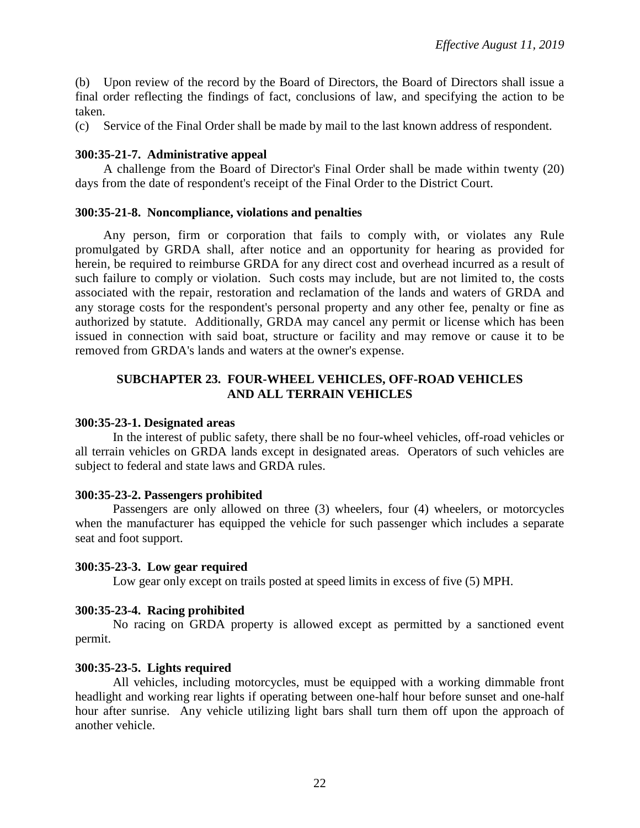(b) Upon review of the record by the Board of Directors, the Board of Directors shall issue a final order reflecting the findings of fact, conclusions of law, and specifying the action to be taken.

(c) Service of the Final Order shall be made by mail to the last known address of respondent.

### **300:35-21-7. Administrative appeal**

A challenge from the Board of Director's Final Order shall be made within twenty (20) days from the date of respondent's receipt of the Final Order to the District Court.

#### **300:35-21-8. Noncompliance, violations and penalties**

Any person, firm or corporation that fails to comply with, or violates any Rule promulgated by GRDA shall, after notice and an opportunity for hearing as provided for herein, be required to reimburse GRDA for any direct cost and overhead incurred as a result of such failure to comply or violation. Such costs may include, but are not limited to, the costs associated with the repair, restoration and reclamation of the lands and waters of GRDA and any storage costs for the respondent's personal property and any other fee, penalty or fine as authorized by statute. Additionally, GRDA may cancel any permit or license which has been issued in connection with said boat, structure or facility and may remove or cause it to be removed from GRDA's lands and waters at the owner's expense.

## **SUBCHAPTER 23. FOUR-WHEEL VEHICLES, OFF-ROAD VEHICLES AND ALL TERRAIN VEHICLES**

#### **300:35-23-1. Designated areas**

In the interest of public safety, there shall be no four-wheel vehicles, off-road vehicles or all terrain vehicles on GRDA lands except in designated areas. Operators of such vehicles are subject to federal and state laws and GRDA rules.

## **300:35-23-2. Passengers prohibited**

Passengers are only allowed on three (3) wheelers, four (4) wheelers, or motorcycles when the manufacturer has equipped the vehicle for such passenger which includes a separate seat and foot support.

## **300:35-23-3. Low gear required**

Low gear only except on trails posted at speed limits in excess of five (5) MPH.

## **300:35-23-4. Racing prohibited**

No racing on GRDA property is allowed except as permitted by a sanctioned event permit.

## **300:35-23-5. Lights required**

All vehicles, including motorcycles, must be equipped with a working dimmable front headlight and working rear lights if operating between one-half hour before sunset and one-half hour after sunrise. Any vehicle utilizing light bars shall turn them off upon the approach of another vehicle.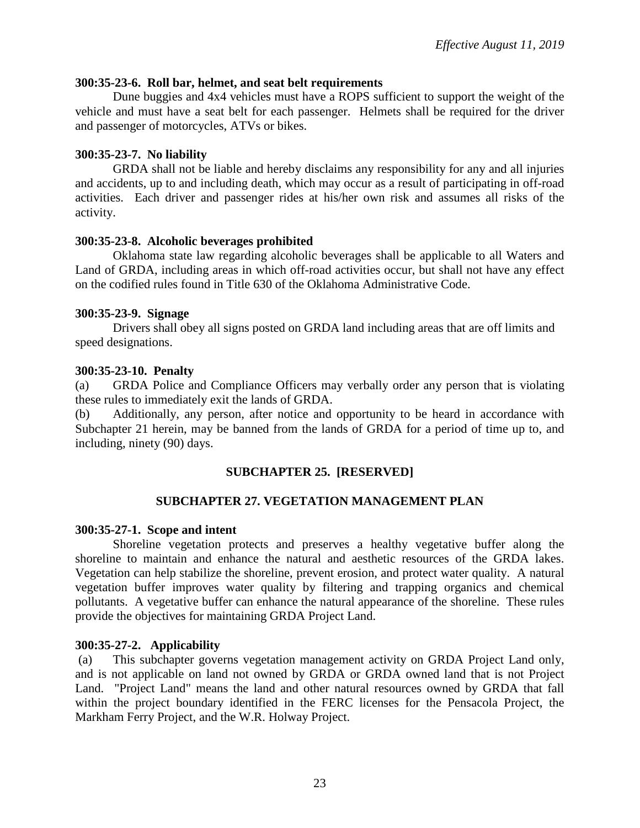#### **300:35-23-6. Roll bar, helmet, and seat belt requirements**

Dune buggies and 4x4 vehicles must have a ROPS sufficient to support the weight of the vehicle and must have a seat belt for each passenger. Helmets shall be required for the driver and passenger of motorcycles, ATVs or bikes.

## **300:35-23-7. No liability**

GRDA shall not be liable and hereby disclaims any responsibility for any and all injuries and accidents, up to and including death, which may occur as a result of participating in off-road activities. Each driver and passenger rides at his/her own risk and assumes all risks of the activity.

### **300:35-23-8. Alcoholic beverages prohibited**

Oklahoma state law regarding alcoholic beverages shall be applicable to all Waters and Land of GRDA, including areas in which off-road activities occur, but shall not have any effect on the codified rules found in Title 630 of the Oklahoma Administrative Code.

#### **300:35-23-9. Signage**

Drivers shall obey all signs posted on GRDA land including areas that are off limits and speed designations.

### **300:35-23-10. Penalty**

(a) GRDA Police and Compliance Officers may verbally order any person that is violating these rules to immediately exit the lands of GRDA.

(b) Additionally, any person, after notice and opportunity to be heard in accordance with Subchapter 21 herein, may be banned from the lands of GRDA for a period of time up to, and including, ninety (90) days.

## **SUBCHAPTER 25. [RESERVED]**

## **SUBCHAPTER 27. VEGETATION MANAGEMENT PLAN**

## **300:35-27-1. Scope and intent**

Shoreline vegetation protects and preserves a healthy vegetative buffer along the shoreline to maintain and enhance the natural and aesthetic resources of the GRDA lakes. Vegetation can help stabilize the shoreline, prevent erosion, and protect water quality. A natural vegetation buffer improves water quality by filtering and trapping organics and chemical pollutants. A vegetative buffer can enhance the natural appearance of the shoreline. These rules provide the objectives for maintaining GRDA Project Land.

## **300:35-27-2. Applicability**

(a) This subchapter governs vegetation management activity on GRDA Project Land only, and is not applicable on land not owned by GRDA or GRDA owned land that is not Project Land. "Project Land" means the land and other natural resources owned by GRDA that fall within the project boundary identified in the FERC licenses for the Pensacola Project, the Markham Ferry Project, and the W.R. Holway Project.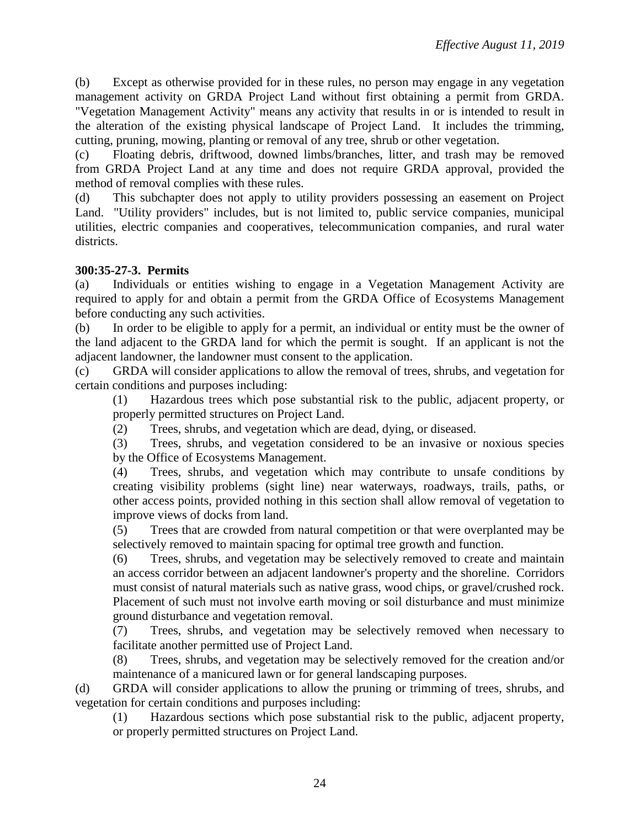(b) Except as otherwise provided for in these rules, no person may engage in any vegetation management activity on GRDA Project Land without first obtaining a permit from GRDA. "Vegetation Management Activity" means any activity that results in or is intended to result in the alteration of the existing physical landscape of Project Land. It includes the trimming, cutting, pruning, mowing, planting or removal of any tree, shrub or other vegetation.

(c) Floating debris, driftwood, downed limbs/branches, litter, and trash may be removed from GRDA Project Land at any time and does not require GRDA approval, provided the method of removal complies with these rules.

(d) This subchapter does not apply to utility providers possessing an easement on Project Land. "Utility providers" includes, but is not limited to, public service companies, municipal utilities, electric companies and cooperatives, telecommunication companies, and rural water districts.

# **300:35-27-3. Permits**

(a) Individuals or entities wishing to engage in a Vegetation Management Activity are required to apply for and obtain a permit from the GRDA Office of Ecosystems Management before conducting any such activities.

(b) In order to be eligible to apply for a permit, an individual or entity must be the owner of the land adjacent to the GRDA land for which the permit is sought. If an applicant is not the adjacent landowner, the landowner must consent to the application.

(c) GRDA will consider applications to allow the removal of trees, shrubs, and vegetation for certain conditions and purposes including:

(1) Hazardous trees which pose substantial risk to the public, adjacent property, or properly permitted structures on Project Land.

(2) Trees, shrubs, and vegetation which are dead, dying, or diseased.

(3) Trees, shrubs, and vegetation considered to be an invasive or noxious species by the Office of Ecosystems Management.

(4) Trees, shrubs, and vegetation which may contribute to unsafe conditions by creating visibility problems (sight line) near waterways, roadways, trails, paths, or other access points, provided nothing in this section shall allow removal of vegetation to improve views of docks from land.

(5) Trees that are crowded from natural competition or that were overplanted may be selectively removed to maintain spacing for optimal tree growth and function.

(6) Trees, shrubs, and vegetation may be selectively removed to create and maintain an access corridor between an adjacent landowner's property and the shoreline. Corridors must consist of natural materials such as native grass, wood chips, or gravel/crushed rock. Placement of such must not involve earth moving or soil disturbance and must minimize ground disturbance and vegetation removal.

(7) Trees, shrubs, and vegetation may be selectively removed when necessary to facilitate another permitted use of Project Land.

(8) Trees, shrubs, and vegetation may be selectively removed for the creation and/or maintenance of a manicured lawn or for general landscaping purposes.

(d) GRDA will consider applications to allow the pruning or trimming of trees, shrubs, and vegetation for certain conditions and purposes including:

(1) Hazardous sections which pose substantial risk to the public, adjacent property, or properly permitted structures on Project Land.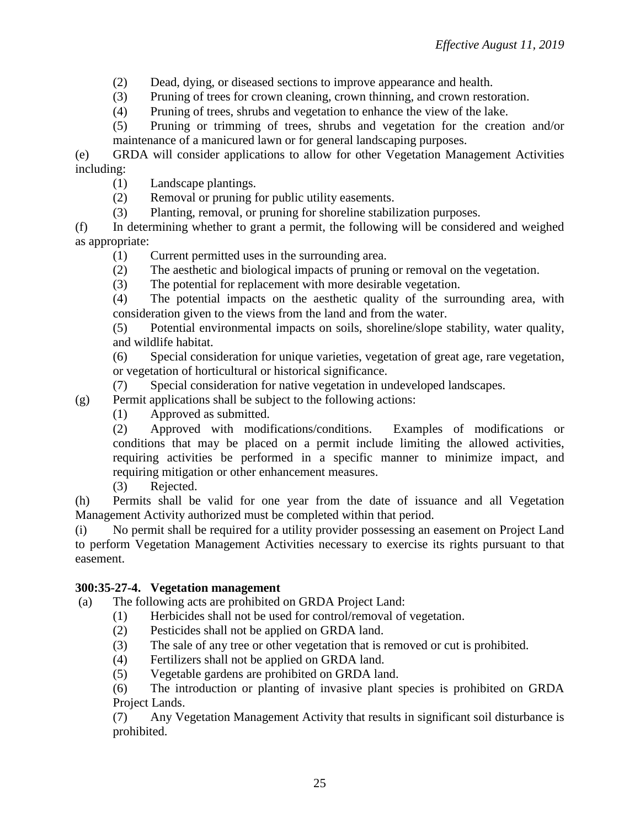(2) Dead, dying, or diseased sections to improve appearance and health.

(3) Pruning of trees for crown cleaning, crown thinning, and crown restoration.

(4) Pruning of trees, shrubs and vegetation to enhance the view of the lake.

(5) Pruning or trimming of trees, shrubs and vegetation for the creation and/or maintenance of a manicured lawn or for general landscaping purposes.

(e) GRDA will consider applications to allow for other Vegetation Management Activities including:

- (1) Landscape plantings.
- (2) Removal or pruning for public utility easements.
- (3) Planting, removal, or pruning for shoreline stabilization purposes.

(f) In determining whether to grant a permit, the following will be considered and weighed as appropriate:

- (1) Current permitted uses in the surrounding area.
- (2) The aesthetic and biological impacts of pruning or removal on the vegetation.
- (3) The potential for replacement with more desirable vegetation.

(4) The potential impacts on the aesthetic quality of the surrounding area, with consideration given to the views from the land and from the water.

(5) Potential environmental impacts on soils, shoreline/slope stability, water quality, and wildlife habitat.

(6) Special consideration for unique varieties, vegetation of great age, rare vegetation, or vegetation of horticultural or historical significance.

(7) Special consideration for native vegetation in undeveloped landscapes.

(g) Permit applications shall be subject to the following actions:

(1) Approved as submitted.

(2) Approved with modifications/conditions. Examples of modifications or conditions that may be placed on a permit include limiting the allowed activities, requiring activities be performed in a specific manner to minimize impact, and requiring mitigation or other enhancement measures.

(3) Rejected.

(h) Permits shall be valid for one year from the date of issuance and all Vegetation Management Activity authorized must be completed within that period.

(i) No permit shall be required for a utility provider possessing an easement on Project Land to perform Vegetation Management Activities necessary to exercise its rights pursuant to that easement.

## **300:35-27-4. Vegetation management**

(a) The following acts are prohibited on GRDA Project Land:

- (1) Herbicides shall not be used for control/removal of vegetation.
	- (2) Pesticides shall not be applied on GRDA land.
	- (3) The sale of any tree or other vegetation that is removed or cut is prohibited.
	- (4) Fertilizers shall not be applied on GRDA land.
	- (5) Vegetable gardens are prohibited on GRDA land.

(6) The introduction or planting of invasive plant species is prohibited on GRDA Project Lands.

(7) Any Vegetation Management Activity that results in significant soil disturbance is prohibited.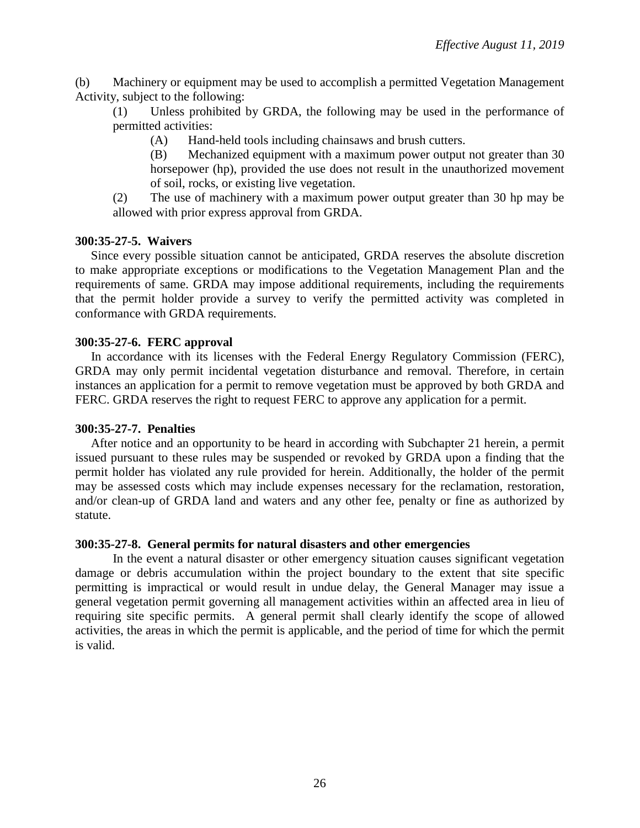(b) Machinery or equipment may be used to accomplish a permitted Vegetation Management Activity, subject to the following:

(1) Unless prohibited by GRDA, the following may be used in the performance of permitted activities:

(A) Hand-held tools including chainsaws and brush cutters.

(B) Mechanized equipment with a maximum power output not greater than 30 horsepower (hp), provided the use does not result in the unauthorized movement of soil, rocks, or existing live vegetation.

(2) The use of machinery with a maximum power output greater than 30 hp may be allowed with prior express approval from GRDA.

### **300:35-27-5. Waivers**

 Since every possible situation cannot be anticipated, GRDA reserves the absolute discretion to make appropriate exceptions or modifications to the Vegetation Management Plan and the requirements of same. GRDA may impose additional requirements, including the requirements that the permit holder provide a survey to verify the permitted activity was completed in conformance with GRDA requirements.

#### **300:35-27-6. FERC approval**

 In accordance with its licenses with the Federal Energy Regulatory Commission (FERC), GRDA may only permit incidental vegetation disturbance and removal. Therefore, in certain instances an application for a permit to remove vegetation must be approved by both GRDA and FERC. GRDA reserves the right to request FERC to approve any application for a permit.

#### **300:35-27-7. Penalties**

 After notice and an opportunity to be heard in according with Subchapter 21 herein, a permit issued pursuant to these rules may be suspended or revoked by GRDA upon a finding that the permit holder has violated any rule provided for herein. Additionally, the holder of the permit may be assessed costs which may include expenses necessary for the reclamation, restoration, and/or clean-up of GRDA land and waters and any other fee, penalty or fine as authorized by statute.

#### **300:35-27-8. General permits for natural disasters and other emergencies**

In the event a natural disaster or other emergency situation causes significant vegetation damage or debris accumulation within the project boundary to the extent that site specific permitting is impractical or would result in undue delay, the General Manager may issue a general vegetation permit governing all management activities within an affected area in lieu of requiring site specific permits. A general permit shall clearly identify the scope of allowed activities, the areas in which the permit is applicable, and the period of time for which the permit is valid.